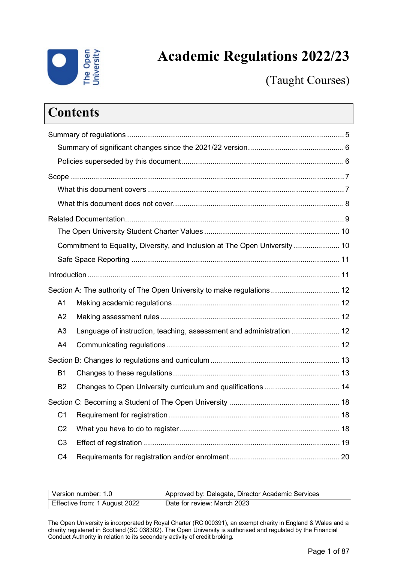

# **Academic Regulations 2022/23**

(Taught Courses)

|                | <b>Contents</b>                                                             |  |
|----------------|-----------------------------------------------------------------------------|--|
|                |                                                                             |  |
|                |                                                                             |  |
|                |                                                                             |  |
|                |                                                                             |  |
|                |                                                                             |  |
|                |                                                                             |  |
|                |                                                                             |  |
|                |                                                                             |  |
|                | Commitment to Equality, Diversity, and Inclusion at The Open University  10 |  |
|                |                                                                             |  |
|                |                                                                             |  |
|                | Section A: The authority of The Open University to make regulations  12     |  |
| A <sub>1</sub> |                                                                             |  |
| A2             |                                                                             |  |
| A3             | Language of instruction, teaching, assessment and administration  12        |  |
| A4             |                                                                             |  |
|                |                                                                             |  |
| <b>B1</b>      |                                                                             |  |
| <b>B2</b>      |                                                                             |  |
|                |                                                                             |  |
| C <sub>1</sub> |                                                                             |  |
| C <sub>2</sub> |                                                                             |  |
| C <sub>3</sub> |                                                                             |  |
| C <sub>4</sub> |                                                                             |  |

| Version number: 1.0           | Approved by: Delegate, Director Academic Services |
|-------------------------------|---------------------------------------------------|
| Effective from: 1 August 2022 | Date for review: March 2023                       |

The Open University is incorporated by Royal Charter (RC 000391), an exempt charity in England & Wales and a charity registered in Scotland (SC 038302). The Open University is authorised and regulated by the Financial Conduct Authority in relation to its secondary activity of credit broking.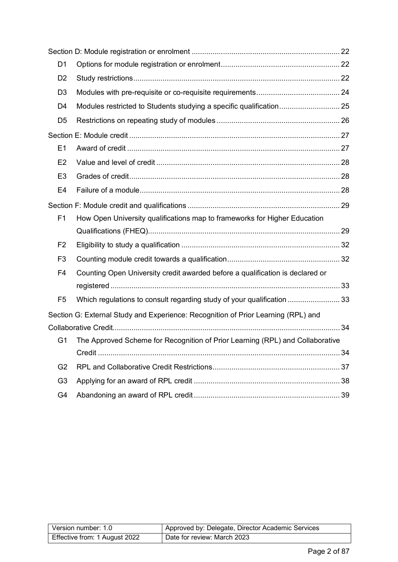| D <sub>1</sub> |                                                                                   |  |
|----------------|-----------------------------------------------------------------------------------|--|
| D <sub>2</sub> |                                                                                   |  |
| D <sub>3</sub> |                                                                                   |  |
| D <sub>4</sub> |                                                                                   |  |
| D <sub>5</sub> |                                                                                   |  |
|                |                                                                                   |  |
| E1             |                                                                                   |  |
| E2             |                                                                                   |  |
| E <sub>3</sub> |                                                                                   |  |
| E <sub>4</sub> |                                                                                   |  |
|                |                                                                                   |  |
| F <sub>1</sub> | How Open University qualifications map to frameworks for Higher Education         |  |
|                |                                                                                   |  |
| F <sub>2</sub> |                                                                                   |  |
| F <sub>3</sub> |                                                                                   |  |
| F <sub>4</sub> | Counting Open University credit awarded before a qualification is declared or     |  |
|                |                                                                                   |  |
| F <sub>5</sub> | Which regulations to consult regarding study of your qualification  33            |  |
|                | Section G: External Study and Experience: Recognition of Prior Learning (RPL) and |  |
|                |                                                                                   |  |
| G1             | The Approved Scheme for Recognition of Prior Learning (RPL) and Collaborative     |  |
|                |                                                                                   |  |
| G <sub>2</sub> |                                                                                   |  |
| G <sub>3</sub> |                                                                                   |  |
| G <sub>4</sub> |                                                                                   |  |

| Version number: 1.0           | Approved by: Delegate, Director Academic Services |
|-------------------------------|---------------------------------------------------|
| Effective from: 1 August 2022 | Date for review: March 2023                       |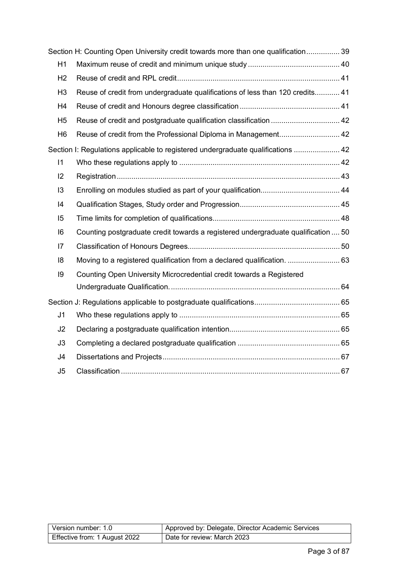|                | Section H: Counting Open University credit towards more than one qualification 39 |  |
|----------------|-----------------------------------------------------------------------------------|--|
| H1             |                                                                                   |  |
| H <sub>2</sub> |                                                                                   |  |
| H <sub>3</sub> | Reuse of credit from undergraduate qualifications of less than 120 credits 41     |  |
| H <sub>4</sub> |                                                                                   |  |
| H <sub>5</sub> |                                                                                   |  |
| H <sub>6</sub> |                                                                                   |  |
|                | Section I: Regulations applicable to registered undergraduate qualifications  42  |  |
| 11             |                                                                                   |  |
| 2              |                                                                                   |  |
| 13             |                                                                                   |  |
| 4              |                                                                                   |  |
| 15             |                                                                                   |  |
| 16             | Counting postgraduate credit towards a registered undergraduate qualification  50 |  |
| 7              |                                                                                   |  |
| 18             | Moving to a registered qualification from a declared qualification.  63           |  |
| 9              | Counting Open University Microcredential credit towards a Registered              |  |
|                |                                                                                   |  |
|                |                                                                                   |  |
| J <sub>1</sub> |                                                                                   |  |
| J2             |                                                                                   |  |
| J3             |                                                                                   |  |
| J4             |                                                                                   |  |
| J5             |                                                                                   |  |

| Version number: 1.0           | Approved by: Delegate, Director Academic Services |
|-------------------------------|---------------------------------------------------|
| Effective from: 1 August 2022 | Date for review: March 2023                       |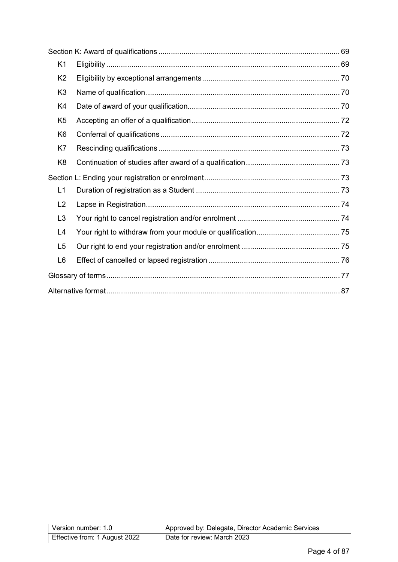| K <sub>1</sub> |  |
|----------------|--|
| K <sub>2</sub> |  |
| K <sub>3</sub> |  |
| K4             |  |
| K <sub>5</sub> |  |
| K <sub>6</sub> |  |
| K7             |  |
| K <sub>8</sub> |  |
|                |  |
| L1             |  |
| L2             |  |
| L <sub>3</sub> |  |
| L4             |  |
| L5             |  |
| L <sub>6</sub> |  |
|                |  |
|                |  |

| Version number: 1.0           | Approved by: Delegate, Director Academic Services |
|-------------------------------|---------------------------------------------------|
| Effective from: 1 August 2022 | Date for review: March 2023                       |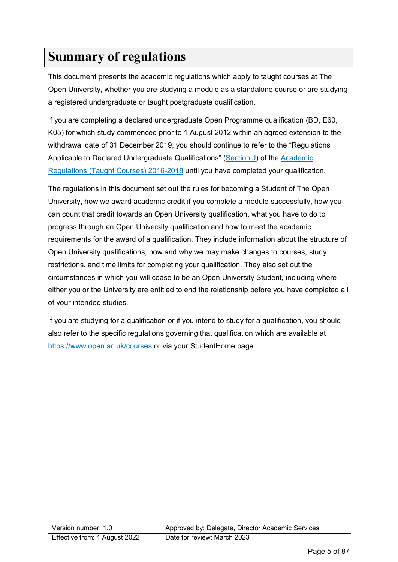# <span id="page-4-0"></span>**Summary of regulations**

This document presents the academic regulations which apply to taught courses at The Open University, whether you are studying a module as a standalone course or are studying a registered undergraduate or taught postgraduate qualification.

If you are completing a declared undergraduate Open Programme qualification (BD, E60, K05) for which study commenced prior to 1 August 2012 within an agreed extension to the withdrawal date of 31 December 2019, you should continue to refer to the "Regulations Applicable to Declared Undergraduate Qualifications" [\(Section J\)](#page-64-0) of the Academic [Regulations \(Taught Courses\) 2016-2018](https://help.open.ac.uk/documents/policies/academic-regulations/files/63/academic-regulations-taught-courses-2016.pdf) until you have completed your qualification.

The regulations in this document set out the rules for becoming a Student of The Open University, how we award academic credit if you complete a module successfully, how you can count that credit towards an Open University qualification, what you have to do to progress through an Open University qualification and how to meet the academic requirements for the award of a qualification. They include information about the structure of Open University qualifications, how and why we may make changes to courses, study restrictions, and time limits for completing your qualification. They also set out the circumstances in which you will cease to be an Open University Student, including where either you or the University are entitled to end the relationship before you have completed all of your intended studies.

If you are studying for a qualification or if you intend to study for a qualification, you should also refer to the specific regulations governing that qualification which are available at <https://www.open.ac.uk/courses> or via your StudentHome page

| Version number: 1.0           | Approved by: Delegate, Director Academic Services |
|-------------------------------|---------------------------------------------------|
| Effective from: 1 August 2022 | Date for review: March 2023                       |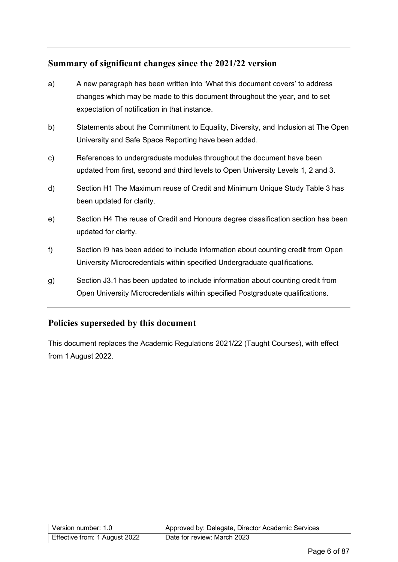# <span id="page-5-0"></span>**Summary of significant changes since the 2021/22 version**

- a) A new paragraph has been written into 'What this document covers' to address changes which may be made to this document throughout the year, and to set expectation of notification in that instance.
- b) Statements about the Commitment to Equality, Diversity, and Inclusion at The Open University and Safe Space Reporting have been added.
- c) References to undergraduate modules throughout the document have been updated from first, second and third levels to Open University Levels 1, 2 and 3.
- d) Section H1 The Maximum reuse of Credit and Minimum Unique Study Table 3 has been updated for clarity.
- e) Section H4 The reuse of Credit and Honours degree classification section has been updated for clarity.
- f) Section I9 has been added to include information about counting credit from Open University Microcredentials within specified Undergraduate qualifications.
- g) Section J3.1 has been updated to include information about counting credit from Open University Microcredentials within specified Postgraduate qualifications.

# <span id="page-5-1"></span>**Policies superseded by this document**

This document replaces the Academic Regulations 2021/22 (Taught Courses), with effect from 1 August 2022.

| Version number: 1.0           | Approved by: Delegate, Director Academic Services |
|-------------------------------|---------------------------------------------------|
| Effective from: 1 August 2022 | Date for review: March 2023                       |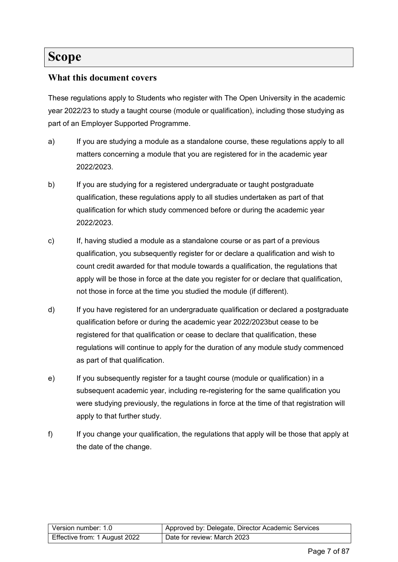# <span id="page-6-0"></span>**Scope**

# <span id="page-6-1"></span>**What this document covers**

These regulations apply to Students who register with The Open University in the academic year 2022/23 to study a taught course (module or qualification), including those studying as part of an Employer Supported Programme.

- a) If you are studying a module as a standalone course, these regulations apply to all matters concerning a module that you are registered for in the academic year 2022/2023.
- b) If you are studying for a registered undergraduate or taught postgraduate qualification, these regulations apply to all studies undertaken as part of that qualification for which study commenced before or during the academic year 2022/2023.
- c) If, having studied a module as a standalone course or as part of a previous qualification, you subsequently register for or declare a qualification and wish to count credit awarded for that module towards a qualification, the regulations that apply will be those in force at the date you register for or declare that qualification, not those in force at the time you studied the module (if different).
- d) If you have registered for an undergraduate qualification or declared a postgraduate qualification before or during the academic year 2022/2023but cease to be registered for that qualification or cease to declare that qualification, these regulations will continue to apply for the duration of any module study commenced as part of that qualification.
- e) If you subsequently register for a taught course (module or qualification) in a subsequent academic year, including re-registering for the same qualification you were studying previously, the regulations in force at the time of that registration will apply to that further study.
- f) If you change your qualification, the regulations that apply will be those that apply at the date of the change.

| Version number: 1.0           | Approved by: Delegate, Director Academic Services |
|-------------------------------|---------------------------------------------------|
| Effective from: 1 August 2022 | Date for review: March 2023                       |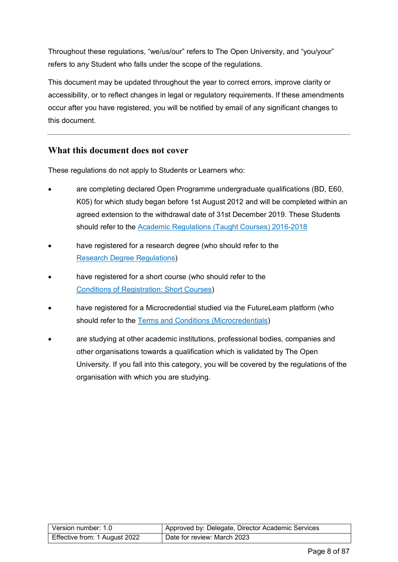Throughout these regulations, "we/us/our" refers to The Open University, and "you/your" refers to any Student who falls under the scope of the regulations.

This document may be updated throughout the year to correct errors, improve clarity or accessibility, or to reflect changes in legal or regulatory requirements. If these amendments occur after you have registered, you will be notified by email of any significant changes to this document.

### <span id="page-7-0"></span>**What this document does not cover**

These regulations do not apply to Students or Learners who:

- are completing declared Open Programme undergraduate qualifications (BD, E60, K05) for which study began before 1st August 2012 and will be completed within an agreed extension to the withdrawal date of 31st December 2019. These Students should refer to the [Academic Regulations \(Taught Courses\) 2016-2018](https://help.open.ac.uk/documents/policies/academic-regulations/files/63/academic-regulations-taught-courses-2016.pdf)
- have registered for a research degree (who should refer to the [Research Degree Regulations\)](https://help.open.ac.uk/documents/policies/research-degree-regulations)
- have registered for a short course (who should refer to the [Conditions of Registration: Short Courses\)](https://help.open.ac.uk/documents/policies/conditions-of-registration-short-courses)
- have registered for a Microcredential studied via the FutureLearn platform (who should refer to the [Terms and Conditions \(Microcredentials\)](https://help.open.ac.uk/documents/policies/terms-and-conditions-microcredentials-21)
- are studying at other academic institutions, professional bodies, companies and other organisations towards a qualification which is validated by The Open University. If you fall into this category, you will be covered by the regulations of the organisation with which you are studying.

| Version number: 1.0           | Approved by: Delegate, Director Academic Services |
|-------------------------------|---------------------------------------------------|
| Effective from: 1 August 2022 | Date for review: March 2023                       |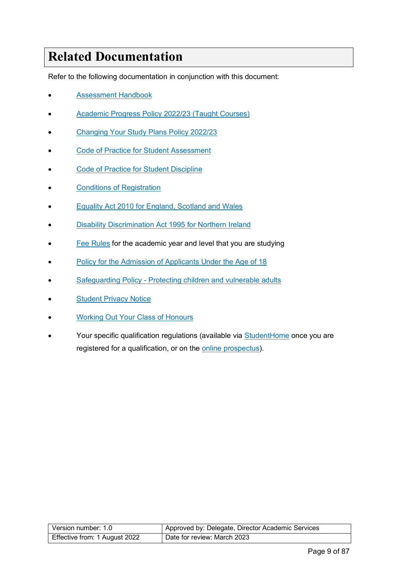# <span id="page-8-0"></span>**Related Documentation**

Refer to the following documentation in conjunction with this document:

- [Assessment Handbook](https://help.open.ac.uk/documents/policies/assessment-handbook)
- [Academic Progress Policy 2022/23 \(Taught Courses\)](https://help.open.ac.uk/documents/policies/academic-progress-policy)
- [Changing Your Study Plans Policy](https://help.open.ac.uk/documents/policies/changing-your-study-plans) 2022/23
- [Code of Practice for Student Assessment](https://help.open.ac.uk/documents/policies/code-of-practice-student-assessment)
- **[Code of Practice for Student Discipline](https://help.open.ac.uk/documents/policies/code-of-practice-student-discipline)**
- [Conditions of Registration](https://help.open.ac.uk/documents/policies/conditions-of-registration)
- **[Equality Act 2010 for England, Scotland and Wales](https://www.legislation.gov.uk/ukpga/2010/15/contents)**
- [Disability Discrimination Act 1995 for Northern Ireland](https://www.legislation.gov.uk/ukpga/1995/50/contents)
- [Fee Rules](https://help.open.ac.uk/documents/policies/fee-rules) for the academic year and level that you are studying
- [Policy for the Admission of Applicants Under the Age of 18](https://help.open.ac.uk/documents/policies/admission-of-applicants-under-the-age-18)
- **[Safeguarding Policy Protecting children and vulnerable adults](https://help.open.ac.uk/documents/policies/ensuring-the-safety-of-children-and-vulnerable-protected-adults)**
- **[Student Privacy Notice](https://help.open.ac.uk/documents/policies/privacy-notice)**
- [Working Out Your Class of Honours](https://help.open.ac.uk/documents/policies/working-out-your-class-of-honours)
- Your specific qualification regulations (available via [StudentHome](https://msds.open.ac.uk/students/) once you are registered for a qualification, or on the [online prospectus\)](http://www.open.ac.uk/).

| Version number: 1.0           | Approved by: Delegate, Director Academic Services |
|-------------------------------|---------------------------------------------------|
| Effective from: 1 August 2022 | Date for review: March 2023                       |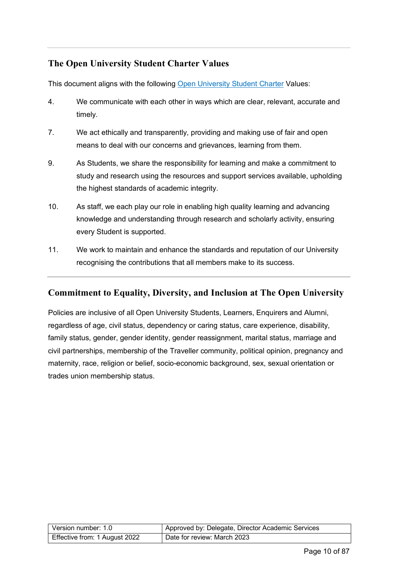# <span id="page-9-0"></span>**The Open University Student Charter Values**

This document aligns with the following [Open University](http://www.open.ac.uk/students/charter/) Student Charter Values:

- 4. We communicate with each other in ways which are clear, relevant, accurate and timely.
- 7. We act ethically and transparently, providing and making use of fair and open means to deal with our concerns and grievances, learning from them.
- 9. As Students, we share the responsibility for learning and make a commitment to study and research using the resources and support services available, upholding the highest standards of academic integrity.
- 10. As staff, we each play our role in enabling high quality learning and advancing knowledge and understanding through research and scholarly activity, ensuring every Student is supported.
- 11. We work to maintain and enhance the standards and reputation of our University recognising the contributions that all members make to its success.

# <span id="page-9-1"></span>**Commitment to Equality, Diversity, and Inclusion at The Open University**

Policies are inclusive of all Open University Students, Learners, Enquirers and Alumni, regardless of age, civil status, dependency or caring status, care experience, disability, family status, gender, gender identity, gender reassignment, marital status, marriage and civil partnerships, membership of the Traveller community, political opinion, pregnancy and maternity, race, religion or belief, socio-economic background, sex, sexual orientation or trades union membership status.

| Version number: 1.0           | Approved by: Delegate, Director Academic Services |
|-------------------------------|---------------------------------------------------|
| Effective from: 1 August 2022 | Date for review: March 2023                       |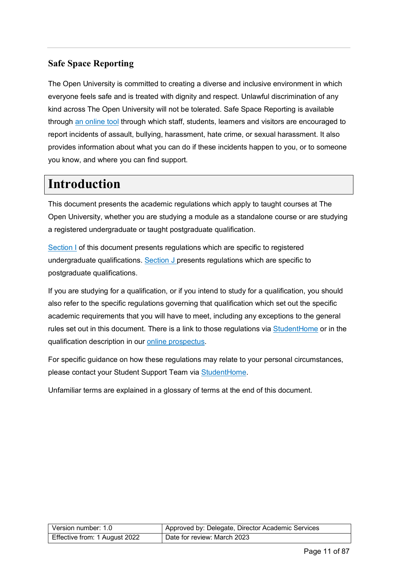# <span id="page-10-0"></span>**Safe Space Reporting**

The Open University is committed to creating a diverse and inclusive environment in which everyone feels safe and is treated with dignity and respect. Unlawful discrimination of any kind across The Open University will not be tolerated. Safe Space Reporting is available through [an online tool](https://report-and-support.open.ac.uk/) through which staff, students, learners and visitors are encouraged to report incidents of assault, bullying, harassment, hate crime, or sexual harassment. It also provides information about what you can do if these incidents happen to you, or to someone you know, and where you can find support.

# <span id="page-10-1"></span>**Introduction**

This document presents the academic regulations which apply to taught courses at The Open University, whether you are studying a module as a standalone course or are studying a registered undergraduate or taught postgraduate qualification.

[Section I](#page-41-2) of this document presents regulations which are specific to registered undergraduate qualifications. [Section J p](#page-64-0)resents regulations which are specific to postgraduate qualifications.

If you are studying for a qualification, or if you intend to study for a qualification, you should also refer to the specific regulations governing that qualification which set out the specific academic requirements that you will have to meet, including any exceptions to the general rules set out in this document. There is a link to those regulations via [StudentHome](https://msds.open.ac.uk/students/) or in the qualification description in our [online prospectus.](http://www.open.ac.uk/)

For specific guidance on how these regulations may relate to your personal circumstances, please contact your Student Support Team via [StudentHome.](https://msds.open.ac.uk/students/)

Unfamiliar terms are explained in a glossary of terms at the end of this document.

| Version number: 1.0           | Approved by: Delegate, Director Academic Services |
|-------------------------------|---------------------------------------------------|
| Effective from: 1 August 2022 | Date for review: March 2023                       |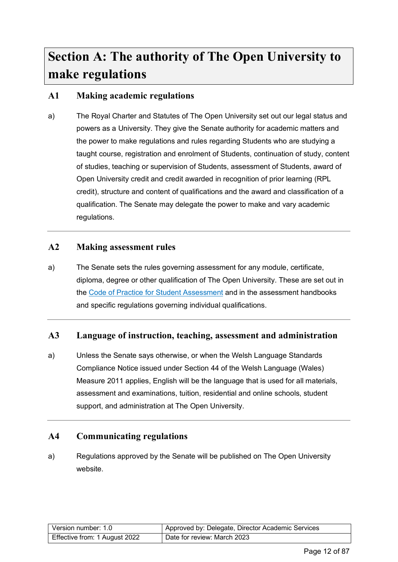# <span id="page-11-0"></span>**Section A: The authority of The Open University to make regulations**

# <span id="page-11-1"></span>**A1 Making academic regulations**

a) The Royal Charter and Statutes of The Open University set out our legal status and powers as a University. They give the Senate authority for academic matters and the power to make regulations and rules regarding Students who are studying a taught course, registration and enrolment of Students, continuation of study, content of studies, teaching or supervision of Students, assessment of Students, award of Open University credit and credit awarded in recognition of prior learning (RPL credit), structure and content of qualifications and the award and classification of a qualification. The Senate may delegate the power to make and vary academic regulations.

# <span id="page-11-2"></span>**A2 Making assessment rules**

a) The Senate sets the rules governing assessment for any module, certificate, diploma, degree or other qualification of The Open University. These are set out in the [Code of Practice for Student Assessment](https://help.open.ac.uk/documents/policies/code-of-practice-student-assessment) and in the assessment handbooks and specific regulations governing individual qualifications.

# <span id="page-11-3"></span>**A3 Language of instruction, teaching, assessment and administration**

a) Unless the Senate says otherwise, or when the Welsh Language Standards Compliance Notice issued under Section 44 of the Welsh Language (Wales) Measure 2011 applies, English will be the language that is used for all materials, assessment and examinations, tuition, residential and online schools, student support, and administration at The Open University.

### <span id="page-11-4"></span>**A4 Communicating regulations**

a) Regulations approved by the Senate will be published on The Open University website.

| Version number: 1.0           | Approved by: Delegate, Director Academic Services |
|-------------------------------|---------------------------------------------------|
| Effective from: 1 August 2022 | Date for review: March 2023                       |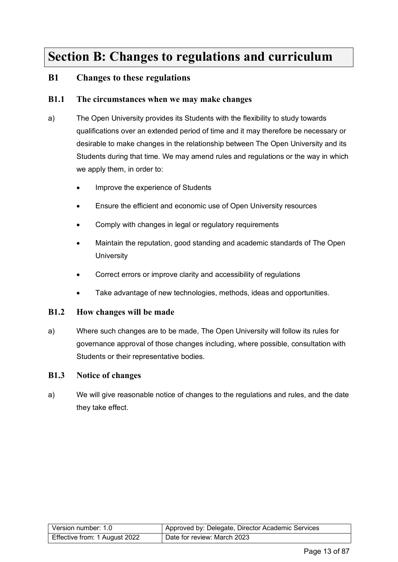# <span id="page-12-0"></span>**Section B: Changes to regulations and curriculum**

### <span id="page-12-1"></span>**B1 Changes to these regulations**

#### <span id="page-12-2"></span>**B1.1 The circumstances when we may make changes**

- a) The Open University provides its Students with the flexibility to study towards qualifications over an extended period of time and it may therefore be necessary or desirable to make changes in the relationship between The Open University and its Students during that time. We may amend rules and regulations or the way in which we apply them, in order to:
	- Improve the experience of Students
	- Ensure the efficient and economic use of Open University resources
	- Comply with changes in legal or regulatory requirements
	- Maintain the reputation, good standing and academic standards of The Open **University**
	- Correct errors or improve clarity and accessibility of regulations
	- Take advantage of new technologies, methods, ideas and opportunities.

#### **B1.2 How changes will be made**

a) Where such changes are to be made, The Open University will follow its rules for governance approval of those changes including, where possible, consultation with Students or their representative bodies.

#### **B1.3 Notice of changes**

a) We will give reasonable notice of changes to the regulations and rules, and the date they take effect.

| Version number: 1.0           | Approved by: Delegate, Director Academic Services |
|-------------------------------|---------------------------------------------------|
| Effective from: 1 August 2022 | Date for review: March 2023                       |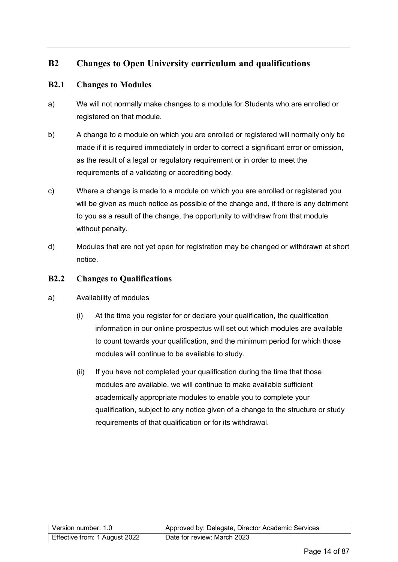# <span id="page-13-0"></span>**B2 Changes to Open University curriculum and qualifications**

#### **B2.1 Changes to Modules**

- a) We will not normally make changes to a module for Students who are enrolled or registered on that module.
- b) A change to a module on which you are enrolled or registered will normally only be made if it is required immediately in order to correct a significant error or omission, as the result of a legal or regulatory requirement or in order to meet the requirements of a validating or accrediting body.
- c) Where a change is made to a module on which you are enrolled or registered you will be given as much notice as possible of the change and, if there is any detriment to you as a result of the change, the opportunity to withdraw from that module without penalty.
- d) Modules that are not yet open for registration may be changed or withdrawn at short notice.

#### **B2.2 Changes to Qualifications**

- a) Availability of modules
	- (i) At the time you register for or declare your qualification, the qualification information in our online prospectus will set out which modules are available to count towards your qualification, and the minimum period for which those modules will continue to be available to study.
	- (ii) If you have not completed your qualification during the time that those modules are available, we will continue to make available sufficient academically appropriate modules to enable you to complete your qualification, subject to any notice given of a change to the structure or study requirements of that qualification or for its withdrawal.

| Version number: 1.0           | Approved by: Delegate, Director Academic Services |
|-------------------------------|---------------------------------------------------|
| Effective from: 1 August 2022 | Date for review: March 2023                       |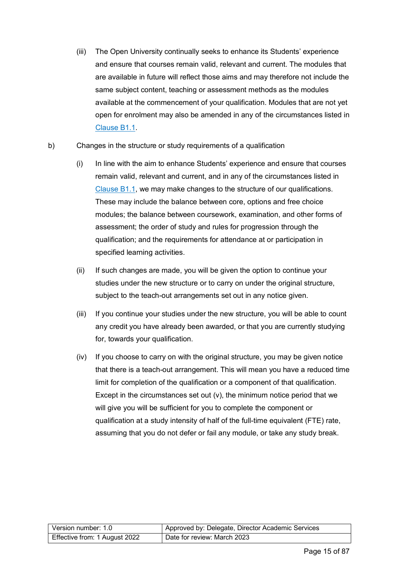- (iii) The Open University continually seeks to enhance its Students' experience and ensure that courses remain valid, relevant and current. The modules that are available in future will reflect those aims and may therefore not include the same subject content, teaching or assessment methods as the modules available at the commencement of your qualification. Modules that are not yet open for enrolment may also be amended in any of the circumstances listed in [Clause B1.1.](#page-12-2)
- b) Changes in the structure or study requirements of a qualification
	- (i) In line with the aim to enhance Students' experience and ensure that courses remain valid, relevant and current, and in any of the circumstances listed in [Clause B1.1,](#page-12-2) we may make changes to the structure of our qualifications. These may include the balance between core, options and free choice modules; the balance between coursework, examination, and other forms of assessment; the order of study and rules for progression through the qualification; and the requirements for attendance at or participation in specified learning activities.
	- (ii) If such changes are made, you will be given the option to continue your studies under the new structure or to carry on under the original structure, subject to the teach-out arrangements set out in any notice given.
	- (iii) If you continue your studies under the new structure, you will be able to count any credit you have already been awarded, or that you are currently studying for, towards your qualification.
	- (iv) If you choose to carry on with the original structure, you may be given notice that there is a teach-out arrangement. This will mean you have a reduced time limit for completion of the qualification or a component of that qualification. Except in the circumstances set out (v), the minimum notice period that we will give you will be sufficient for you to complete the component or qualification at a study intensity of half of the full-time equivalent (FTE) rate, assuming that you do not defer or fail any module, or take any study break.

| Version number: 1.0           | Approved by: Delegate, Director Academic Services |
|-------------------------------|---------------------------------------------------|
| Effective from: 1 August 2022 | Date for review: March 2023                       |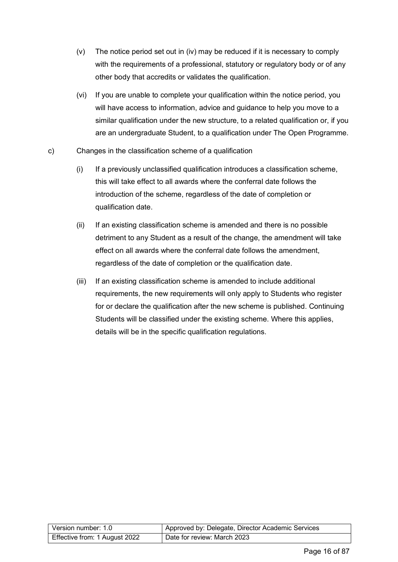- (v) The notice period set out in (iv) may be reduced if it is necessary to comply with the requirements of a professional, statutory or regulatory body or of any other body that accredits or validates the qualification.
- (vi) If you are unable to complete your qualification within the notice period, you will have access to information, advice and guidance to help you move to a similar qualification under the new structure, to a related qualification or, if you are an undergraduate Student, to a qualification under The Open Programme.
- c) Changes in the classification scheme of a qualification
	- (i) If a previously unclassified qualification introduces a classification scheme, this will take effect to all awards where the conferral date follows the introduction of the scheme, regardless of the date of completion or qualification date.
	- (ii) If an existing classification scheme is amended and there is no possible detriment to any Student as a result of the change, the amendment will take effect on all awards where the conferral date follows the amendment, regardless of the date of completion or the qualification date.
	- (iii) If an existing classification scheme is amended to include additional requirements, the new requirements will only apply to Students who register for or declare the qualification after the new scheme is published. Continuing Students will be classified under the existing scheme. Where this applies, details will be in the specific qualification regulations.

| Version number: 1.0           | Approved by: Delegate, Director Academic Services |
|-------------------------------|---------------------------------------------------|
| Effective from: 1 August 2022 | Date for review: March 2023                       |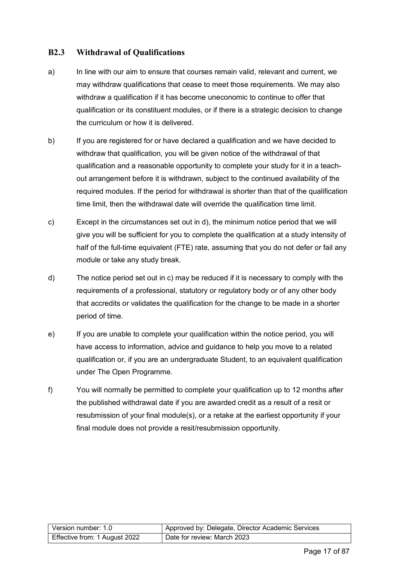#### **B2.3 Withdrawal of Qualifications**

- a) In line with our aim to ensure that courses remain valid, relevant and current, we may withdraw qualifications that cease to meet those requirements. We may also withdraw a qualification if it has become uneconomic to continue to offer that qualification or its constituent modules, or if there is a strategic decision to change the curriculum or how it is delivered.
- b) If you are registered for or have declared a qualification and we have decided to withdraw that qualification, you will be given notice of the withdrawal of that qualification and a reasonable opportunity to complete your study for it in a teachout arrangement before it is withdrawn, subject to the continued availability of the required modules. If the period for withdrawal is shorter than that of the qualification time limit, then the withdrawal date will override the qualification time limit.
- c) Except in the circumstances set out in d), the minimum notice period that we will give you will be sufficient for you to complete the qualification at a study intensity of half of the full-time equivalent (FTE) rate, assuming that you do not defer or fail any module or take any study break.
- d) The notice period set out in c) may be reduced if it is necessary to comply with the requirements of a professional, statutory or regulatory body or of any other body that accredits or validates the qualification for the change to be made in a shorter period of time.
- e) If you are unable to complete your qualification within the notice period, you will have access to information, advice and guidance to help you move to a related qualification or, if you are an undergraduate Student, to an equivalent qualification under The Open Programme.
- f) You will normally be permitted to complete your qualification up to 12 months after the published withdrawal date if you are awarded credit as a result of a resit or resubmission of your final module(s), or a retake at the earliest opportunity if your final module does not provide a resit/resubmission opportunity.

| Version number: 1.0           | Approved by: Delegate, Director Academic Services |
|-------------------------------|---------------------------------------------------|
| Effective from: 1 August 2022 | Date for review: March 2023                       |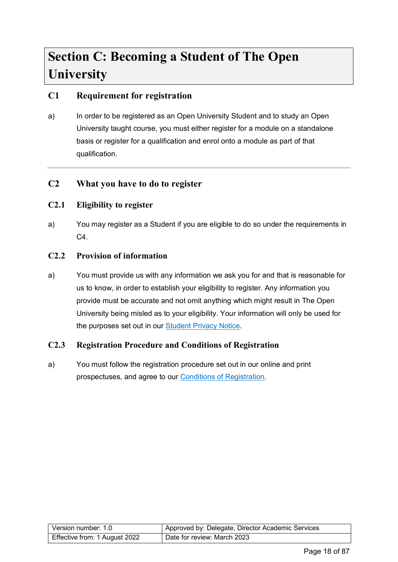# <span id="page-17-0"></span>**Section C: Becoming a Student of The Open University**

# <span id="page-17-1"></span>**C1 Requirement for registration**

a) In order to be registered as an Open University Student and to study an Open University taught course, you must either register for a module on a standalone basis or register for a qualification and enrol onto a module as part of that qualification.

# <span id="page-17-2"></span>**C2 What you have to do to register**

### **C2.1 Eligibility to register**

a) You may register as a Student if you are eligible to do so under the requirements in C4.

#### **C2.2 Provision of information**

a) You must provide us with any information we ask you for and that is reasonable for us to know, in order to establish your eligibility to register. Any information you provide must be accurate and not omit anything which might result in The Open University being misled as to your eligibility. Your information will only be used for the purposes set out in our [Student Privacy Notice.](https://help.open.ac.uk/documents/policies/privacy-notice)

#### **C2.3 Registration Procedure and Conditions of Registration**

a) You must follow the registration procedure set out in our online and print prospectuses, and agree to our [Conditions of Registration.](https://help.open.ac.uk/documents/policies/conditions-of-registration)

| Version number: 1.0           | Approved by: Delegate, Director Academic Services |
|-------------------------------|---------------------------------------------------|
| Effective from: 1 August 2022 | Date for review: March 2023                       |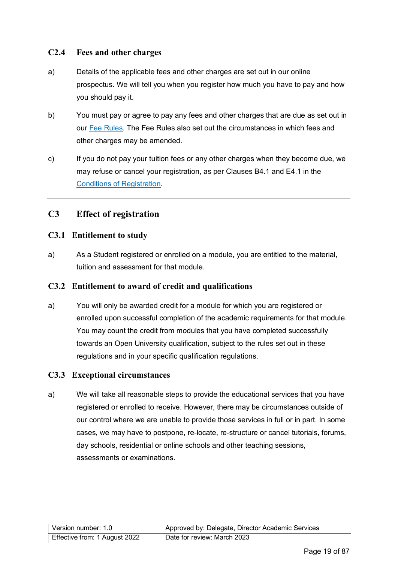#### **C2.4 Fees and other charges**

- a) Details of the applicable fees and other charges are set out in our online prospectus. We will tell you when you register how much you have to pay and how you should pay it.
- b) You must pay or agree to pay any fees and other charges that are due as set out in our [Fee Rules.](https://help.open.ac.uk/documents/policies/fee-rules) The Fee Rules also set out the circumstances in which fees and other charges may be amended.
- c) If you do not pay your tuition fees or any other charges when they become due, we may refuse or cancel your registration, as per Clauses B4.1 and E4.1 in the [Conditions of Registration.](https://help.open.ac.uk/documents/policies/conditions-of-registration)

# <span id="page-18-0"></span>**C3 Effect of registration**

#### **C3.1 Entitlement to study**

a) As a Student registered or enrolled on a module, you are entitled to the material, tuition and assessment for that module.

#### **C3.2 Entitlement to award of credit and qualifications**

a) You will only be awarded credit for a module for which you are registered or enrolled upon successful completion of the academic requirements for that module. You may count the credit from modules that you have completed successfully towards an Open University qualification, subject to the rules set out in these regulations and in your specific qualification regulations.

#### **C3.3 Exceptional circumstances**

a) We will take all reasonable steps to provide the educational services that you have registered or enrolled to receive. However, there may be circumstances outside of our control where we are unable to provide those services in full or in part. In some cases, we may have to postpone, re-locate, re-structure or cancel tutorials, forums, day schools, residential or online schools and other teaching sessions, assessments or examinations.

| Version number: 1.0           | Approved by: Delegate, Director Academic Services |
|-------------------------------|---------------------------------------------------|
| Effective from: 1 August 2022 | Date for review: March 2023                       |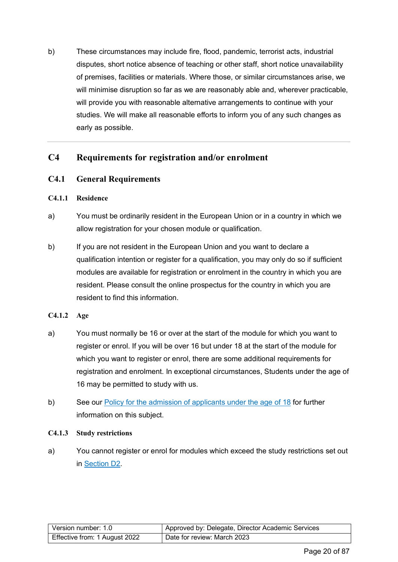b) These circumstances may include fire, flood, pandemic, terrorist acts, industrial disputes, short notice absence of teaching or other staff, short notice unavailability of premises, facilities or materials. Where those, or similar circumstances arise, we will minimise disruption so far as we are reasonably able and, wherever practicable, will provide you with reasonable alternative arrangements to continue with your studies. We will make all reasonable efforts to inform you of any such changes as early as possible.

# <span id="page-19-0"></span>**C4 Requirements for registration and/or enrolment**

#### <span id="page-19-1"></span>**C4.1 General Requirements**

#### **C4.1.1 Residence**

- a) You must be ordinarily resident in the European Union or in a country in which we allow registration for your chosen module or qualification.
- b) If you are not resident in the European Union and you want to declare a qualification intention or register for a qualification, you may only do so if sufficient modules are available for registration or enrolment in the country in which you are resident. Please consult the online prospectus for the country in which you are resident to find this information.
- **C4.1.2 Age**
- a) You must normally be 16 or over at the start of the module for which you want to register or enrol. If you will be over 16 but under 18 at the start of the module for which you want to register or enrol, there are some additional requirements for registration and enrolment. In exceptional circumstances, Students under the age of 16 may be permitted to study with us.
- b) See our [Policy for the admission of applicants under the age of 18](https://help.open.ac.uk/documents/policies/admission-of-applicants-under-the-age-18) for further information on this subject.

#### **C4.1.3 Study restrictions**

a) You cannot register or enrol for modules which exceed the study restrictions set out in [Section D2.](#page-21-3)

| Version number: 1.0           | Approved by: Delegate, Director Academic Services |
|-------------------------------|---------------------------------------------------|
| Effective from: 1 August 2022 | Date for review: March 2023                       |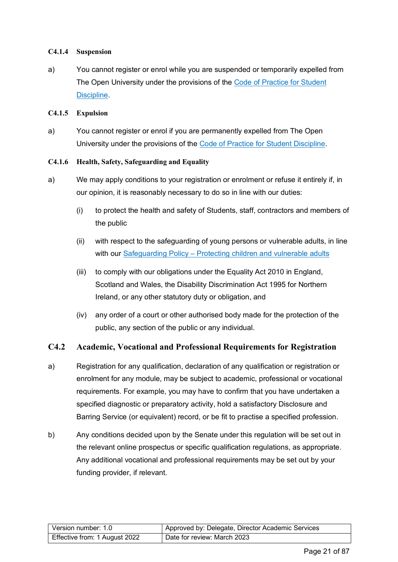#### **C4.1.4 Suspension**

a) You cannot register or enrol while you are suspended or temporarily expelled from The Open University under the provisions of the [Code of Practice for Student](https://help.open.ac.uk/documents/policies/code-of-practice-student-discipline)  [Discipline.](https://help.open.ac.uk/documents/policies/code-of-practice-student-discipline)

#### **C4.1.5 Expulsion**

a) You cannot register or enrol if you are permanently expelled from The Open University under the provisions of the [Code of Practice for Student Discipline.](https://help.open.ac.uk/documents/policies/code-of-practice-student-discipline)

#### **C4.1.6 Health, Safety, Safeguarding and Equality**

- a) We may apply conditions to your registration or enrolment or refuse it entirely if, in our opinion, it is reasonably necessary to do so in line with our duties:
	- (i) to protect the health and safety of Students, staff, contractors and members of the public
	- (ii) with respect to the safeguarding of young persons or vulnerable adults, in line with our Safeguarding Policy – [Protecting children and vulnerable adults](https://help.open.ac.uk/documents/policies/ensuring-the-safety-of-children-and-vulnerable-protected-adults)
	- (iii) to comply with our obligations under the Equality Act 2010 in England, Scotland and Wales, the Disability Discrimination Act 1995 for Northern Ireland, or any other statutory duty or obligation, and
	- (iv) any order of a court or other authorised body made for the protection of the public, any section of the public or any individual.

### **C4.2 Academic, Vocational and Professional Requirements for Registration**

- a) Registration for any qualification, declaration of any qualification or registration or enrolment for any module, may be subject to academic, professional or vocational requirements. For example, you may have to confirm that you have undertaken a specified diagnostic or preparatory activity, hold a satisfactory Disclosure and Barring Service (or equivalent) record, or be fit to practise a specified profession.
- b) Any conditions decided upon by the Senate under this regulation will be set out in the relevant online prospectus or specific qualification regulations, as appropriate. Any additional vocational and professional requirements may be set out by your funding provider, if relevant.

| Version number: 1.0           | Approved by: Delegate, Director Academic Services |
|-------------------------------|---------------------------------------------------|
| Effective from: 1 August 2022 | Date for review: March 2023                       |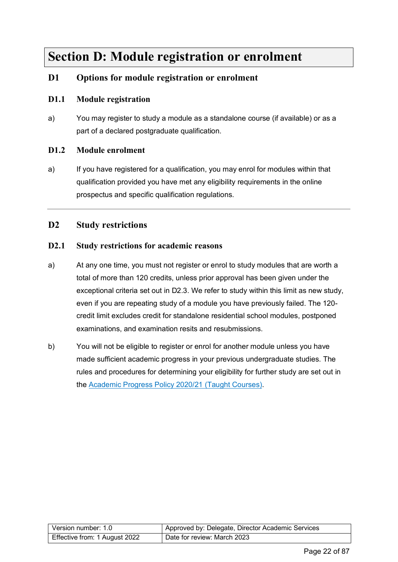# <span id="page-21-0"></span>**Section D: Module registration or enrolment**

# <span id="page-21-1"></span>**D1 Options for module registration or enrolment**

#### **D1.1 Module registration**

a) You may register to study a module as a standalone course (if available) or as a part of a declared postgraduate qualification.

#### **D1.2 Module enrolment**

a) If you have registered for a qualification, you may enrol for modules within that qualification provided you have met any eligibility requirements in the online prospectus and specific qualification regulations.

### <span id="page-21-2"></span>**D2 Study restrictions**

#### <span id="page-21-3"></span>**D2.1 Study restrictions for academic reasons**

- a) At any one time, you must not register or enrol to study modules that are worth a total of more than 120 credits, unless prior approval has been given under the exceptional criteria set out in D2.3. We refer to study within this limit as new study, even if you are repeating study of a module you have previously failed. The 120 credit limit excludes credit for standalone residential school modules, postponed examinations, and examination resits and resubmissions.
- b) You will not be eligible to register or enrol for another module unless you have made sufficient academic progress in your previous undergraduate studies. The rules and procedures for determining your eligibility for further study are set out in the [Academic Progress Policy](https://help.open.ac.uk/documents/policies/academic-progress-policy) 2020/21 (Taught Courses).

| Version number: 1.0           | Approved by: Delegate, Director Academic Services |  |  |  |
|-------------------------------|---------------------------------------------------|--|--|--|
| Effective from: 1 August 2022 | Date for review: March 2023                       |  |  |  |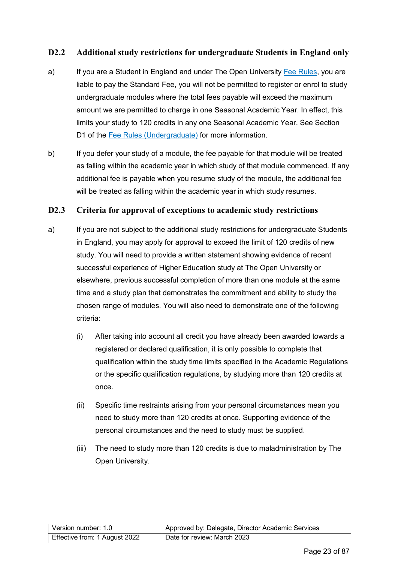#### **D2.2 Additional study restrictions for undergraduate Students in England only**

- a) If you are a Student in England and under The Open University [Fee Rules,](https://help.open.ac.uk/documents/policies/fee-rules) you are liable to pay the Standard Fee, you will not be permitted to register or enrol to study undergraduate modules where the total fees payable will exceed the maximum amount we are permitted to charge in one Seasonal Academic Year. In effect, this limits your study to 120 credits in any one Seasonal Academic Year. See Section D1 of the [Fee Rules \(Undergraduate\)](https://help.open.ac.uk/documents/policies/fee-rules) for more information.
- b) If you defer your study of a module, the fee payable for that module will be treated as falling within the academic year in which study of that module commenced. If any additional fee is payable when you resume study of the module, the additional fee will be treated as falling within the academic year in which study resumes.

#### **D2.3 Criteria for approval of exceptions to academic study restrictions**

- a) If you are not subject to the additional study restrictions for undergraduate Students in England, you may apply for approval to exceed the limit of 120 credits of new study. You will need to provide a written statement showing evidence of recent successful experience of Higher Education study at The Open University or elsewhere, previous successful completion of more than one module at the same time and a study plan that demonstrates the commitment and ability to study the chosen range of modules. You will also need to demonstrate one of the following criteria:
	- (i) After taking into account all credit you have already been awarded towards a registered or declared qualification, it is only possible to complete that qualification within the study time limits specified in the Academic Regulations or the specific qualification regulations, by studying more than 120 credits at once.
	- (ii) Specific time restraints arising from your personal circumstances mean you need to study more than 120 credits at once. Supporting evidence of the personal circumstances and the need to study must be supplied.
	- (iii) The need to study more than 120 credits is due to maladministration by The Open University.

| Version number: 1.0           | Approved by: Delegate, Director Academic Services |  |  |  |
|-------------------------------|---------------------------------------------------|--|--|--|
| Effective from: 1 August 2022 | Date for review: March 2023                       |  |  |  |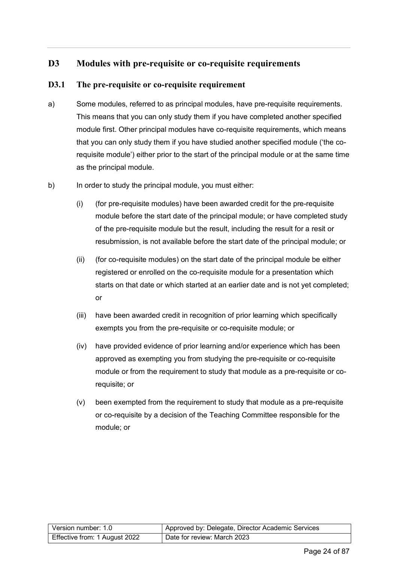# <span id="page-23-0"></span>**D3 Modules with pre-requisite or co-requisite requirements**

### **D3.1 The pre-requisite or co-requisite requirement**

- a) Some modules, referred to as principal modules, have pre-requisite requirements. This means that you can only study them if you have completed another specified module first. Other principal modules have co-requisite requirements, which means that you can only study them if you have studied another specified module ('the corequisite module') either prior to the start of the principal module or at the same time as the principal module.
- b) In order to study the principal module, you must either:
	- (i) (for pre-requisite modules) have been awarded credit for the pre-requisite module before the start date of the principal module; or have completed study of the pre-requisite module but the result, including the result for a resit or resubmission, is not available before the start date of the principal module; or
	- (ii) (for co-requisite modules) on the start date of the principal module be either registered or enrolled on the co-requisite module for a presentation which starts on that date or which started at an earlier date and is not yet completed; or
	- (iii) have been awarded credit in recognition of prior learning which specifically exempts you from the pre-requisite or co-requisite module; or
	- (iv) have provided evidence of prior learning and/or experience which has been approved as exempting you from studying the pre-requisite or co-requisite module or from the requirement to study that module as a pre-requisite or corequisite; or
	- (v) been exempted from the requirement to study that module as a pre-requisite or co-requisite by a decision of the Teaching Committee responsible for the module; or

| Version number: 1.0           | Approved by: Delegate, Director Academic Services |  |  |  |
|-------------------------------|---------------------------------------------------|--|--|--|
| Effective from: 1 August 2022 | Date for review: March 2023                       |  |  |  |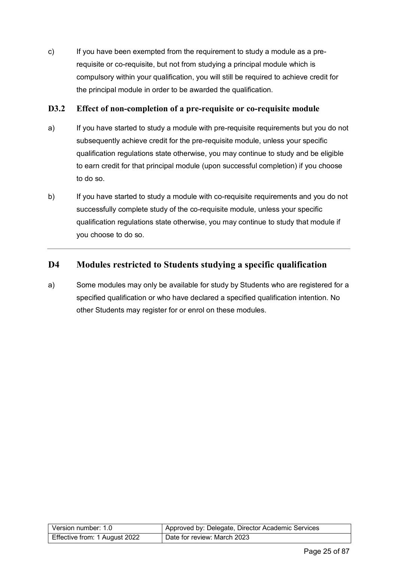c) If you have been exempted from the requirement to study a module as a prerequisite or co-requisite, but not from studying a principal module which is compulsory within your qualification, you will still be required to achieve credit for the principal module in order to be awarded the qualification.

#### **D3.2 Effect of non-completion of a pre-requisite or co-requisite module**

- a) If you have started to study a module with pre-requisite requirements but you do not subsequently achieve credit for the pre-requisite module, unless your specific qualification regulations state otherwise, you may continue to study and be eligible to earn credit for that principal module (upon successful completion) if you choose to do so.
- b) If you have started to study a module with co-requisite requirements and you do not successfully complete study of the co-requisite module, unless your specific qualification regulations state otherwise, you may continue to study that module if you choose to do so.

# <span id="page-24-0"></span>**D4 Modules restricted to Students studying a specific qualification**

a) Some modules may only be available for study by Students who are registered for a specified qualification or who have declared a specified qualification intention. No other Students may register for or enrol on these modules.

| Version number: 1.0           | Approved by: Delegate, Director Academic Services |  |  |
|-------------------------------|---------------------------------------------------|--|--|
| Effective from: 1 August 2022 | Date for review: March 2023                       |  |  |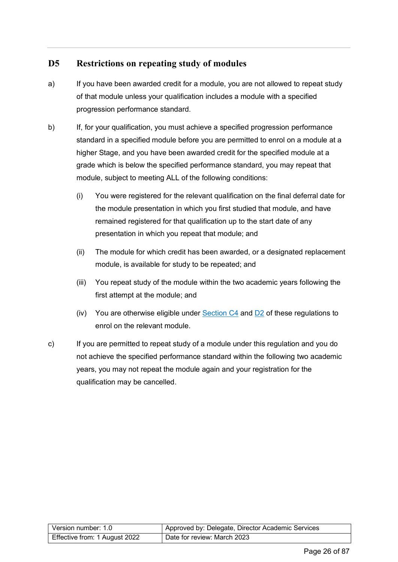# <span id="page-25-0"></span>**D5 Restrictions on repeating study of modules**

- a) If you have been awarded credit for a module, you are not allowed to repeat study of that module unless your qualification includes a module with a specified progression performance standard.
- b) If, for your qualification, you must achieve a specified progression performance standard in a specified module before you are permitted to enrol on a module at a higher Stage, and you have been awarded credit for the specified module at a grade which is below the specified performance standard, you may repeat that module, subject to meeting ALL of the following conditions:
	- (i) You were registered for the relevant qualification on the final deferral date for the module presentation in which you first studied that module, and have remained registered for that qualification up to the start date of any presentation in which you repeat that module; and
	- (ii) The module for which credit has been awarded, or a designated replacement module, is available for study to be repeated; and
	- (iii) You repeat study of the module within the two academic years following the first attempt at the module; and
	- (iv) You are otherwise eligible under Section  $C4$  and  $D2$  of these regulations to enrol on the relevant module.
- c) If you are permitted to repeat study of a module under this regulation and you do not achieve the specified performance standard within the following two academic years, you may not repeat the module again and your registration for the qualification may be cancelled.

| Version number: 1.0           | Approved by: Delegate, Director Academic Services |  |  |  |
|-------------------------------|---------------------------------------------------|--|--|--|
| Effective from: 1 August 2022 | Date for review: March 2023                       |  |  |  |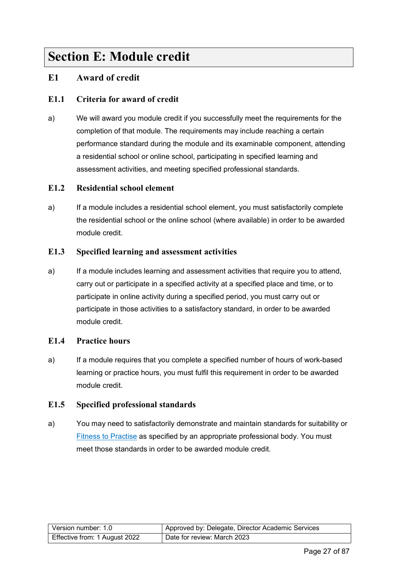# <span id="page-26-0"></span>**Section E: Module credit**

# <span id="page-26-1"></span>**E1 Award of credit**

### **E1.1 Criteria for award of credit**

a) We will award you module credit if you successfully meet the requirements for the completion of that module. The requirements may include reaching a certain performance standard during the module and its examinable component, attending a residential school or online school, participating in specified learning and assessment activities, and meeting specified professional standards.

#### **E1.2 Residential school element**

a) If a module includes a residential school element, you must satisfactorily complete the residential school or the online school (where available) in order to be awarded module credit.

#### **E1.3 Specified learning and assessment activities**

a) If a module includes learning and assessment activities that require you to attend, carry out or participate in a specified activity at a specified place and time, or to participate in online activity during a specified period, you must carry out or participate in those activities to a satisfactory standard, in order to be awarded module credit.

#### **E1.4 Practice hours**

a) If a module requires that you complete a specified number of hours of work-based learning or practice hours, you must fulfil this requirement in order to be awarded module credit.

#### **E1.5 Specified professional standards**

a) You may need to satisfactorily demonstrate and maintain standards for suitability or [Fitness to Practise](https://help.open.ac.uk/documents/policies/fitness-to-practise) as specified by an appropriate professional body. You must meet those standards in order to be awarded module credit.

| l Version number: 1.0_        | Approved by: Delegate, Director Academic Services |
|-------------------------------|---------------------------------------------------|
| Effective from: 1 August 2022 | Date for review: March 2023                       |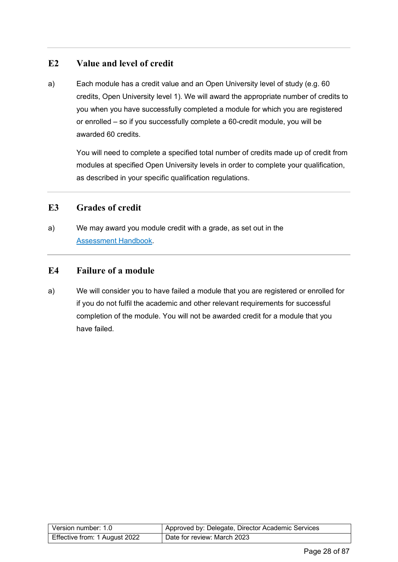# <span id="page-27-0"></span>**E2 Value and level of credit**

a) Each module has a credit value and an Open University level of study (e.g. 60 credits, Open University level 1). We will award the appropriate number of credits to you when you have successfully completed a module for which you are registered or enrolled – so if you successfully complete a 60-credit module, you will be awarded 60 credits.

You will need to complete a specified total number of credits made up of credit from modules at specified Open University levels in order to complete your qualification, as described in your specific qualification regulations.

### <span id="page-27-1"></span>**E3 Grades of credit**

a) We may award you module credit with a grade, as set out in the [Assessment Handbook.](https://help.open.ac.uk/documents/policies/assessment-handbook)

### <span id="page-27-2"></span>**E4 Failure of a module**

a) We will consider you to have failed a module that you are registered or enrolled for if you do not fulfil the academic and other relevant requirements for successful completion of the module. You will not be awarded credit for a module that you have failed.

| Version number: 1.0           | Approved by: Delegate, Director Academic Services |  |  |
|-------------------------------|---------------------------------------------------|--|--|
| Effective from: 1 August 2022 | Date for review: March 2023                       |  |  |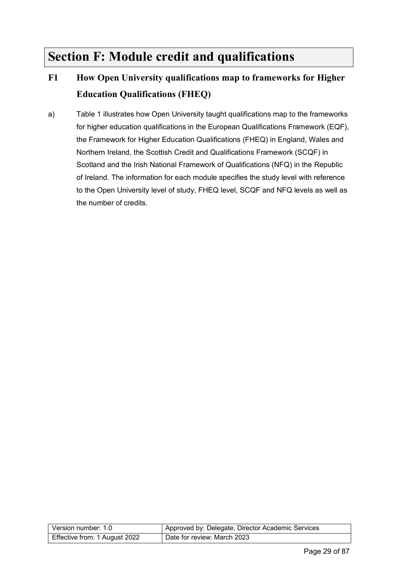# <span id="page-28-0"></span>**Section F: Module credit and qualifications**

# <span id="page-28-1"></span>**F1 How Open University qualifications map to frameworks for Higher Education Qualifications (FHEQ)**

a) Table 1 illustrates how Open University taught qualifications map to the frameworks for higher education qualifications in the European Qualifications Framework (EQF), the Framework for Higher Education Qualifications (FHEQ) in England, Wales and Northern Ireland, the Scottish Credit and Qualifications Framework (SCQF) in Scotland and the Irish National Framework of Qualifications (NFQ) in the Republic of Ireland. The information for each module specifies the study level with reference to the Open University level of study, FHEQ level, SCQF and NFQ levels as well as the number of credits.

| Version number: 1.0           | Approved by: Delegate, Director Academic Services |  |  |  |
|-------------------------------|---------------------------------------------------|--|--|--|
| Effective from: 1 August 2022 | Date for review: March 2023                       |  |  |  |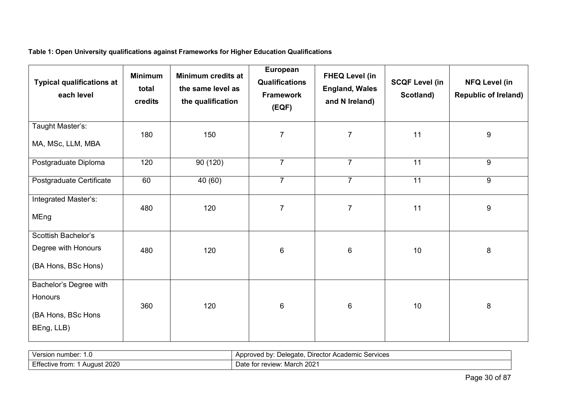**Table 1: Open University qualifications against Frameworks for Higher Education Qualifications** 

| <b>Typical qualifications at</b><br>each level                        | <b>Minimum</b><br>total<br>credits | Minimum credits at<br>the same level as<br>the qualification | European<br><b>Qualifications</b><br><b>Framework</b><br>(EQF) | <b>FHEQ Level (in</b><br><b>England, Wales</b><br>and N Ireland) | <b>SCQF Level (in</b><br>Scotland) | <b>NFQ Level (in</b><br><b>Republic of Ireland)</b> |
|-----------------------------------------------------------------------|------------------------------------|--------------------------------------------------------------|----------------------------------------------------------------|------------------------------------------------------------------|------------------------------------|-----------------------------------------------------|
| Taught Master's:<br>MA, MSc, LLM, MBA                                 | 180                                | 150                                                          | $\overline{7}$                                                 | $\overline{7}$                                                   | 11                                 | 9                                                   |
| Postgraduate Diploma                                                  | 120                                | 90 (120)                                                     | $\overline{7}$                                                 | $\overline{7}$                                                   | 11                                 | 9                                                   |
| Postgraduate Certificate                                              | 60                                 | 40 (60)                                                      | $\overline{7}$                                                 | $\overline{7}$                                                   | 11                                 | 9                                                   |
| Integrated Master's:<br>MEng                                          | 480                                | 120                                                          | $\overline{7}$                                                 | $\overline{7}$                                                   | 11                                 | 9                                                   |
| Scottish Bachelor's<br>Degree with Honours<br>(BA Hons, BSc Hons)     | 480                                | 120                                                          | 6                                                              | $\,6$                                                            | 10                                 | 8                                                   |
| Bachelor's Degree with<br>Honours<br>(BA Hons, BSc Hons<br>BEng, LLB) | 360                                | 120                                                          | 6                                                              | $\,6$                                                            | 10                                 | 8                                                   |

| umber:<br>Nerr<br>nur<br>◡<br>ں . | Director Academic<br>`Services<br>bv<br>Delegate.<br>\pproved<br>Δn<br>. . |
|-----------------------------------|----------------------------------------------------------------------------|
| Effec.                            | 2021                                                                       |
| 2020                              | March                                                                      |
| /e from                           | or review:                                                                 |
| "Augus                            | $10^{+6}$                                                                  |
| 11 W F                            | Date for                                                                   |
|                                   |                                                                            |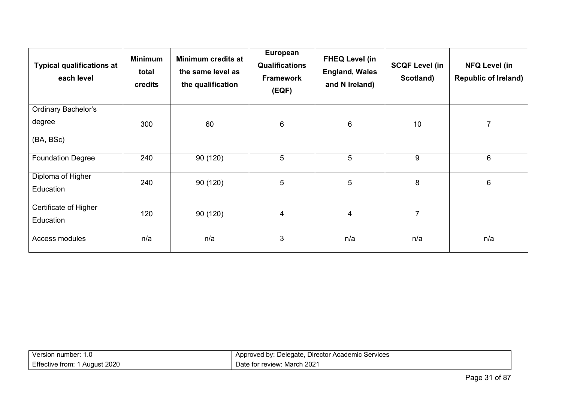| <b>Typical qualifications at</b><br>each level | <b>Minimum</b><br>total<br>credits | Minimum credits at<br>the same level as<br>the qualification | European<br><b>Qualifications</b><br><b>Framework</b><br>(EQF) | <b>FHEQ Level (in</b><br><b>England, Wales</b><br>and N Ireland) | <b>SCQF Level (in</b><br>Scotland) | <b>NFQ Level (in</b><br><b>Republic of Ireland)</b> |
|------------------------------------------------|------------------------------------|--------------------------------------------------------------|----------------------------------------------------------------|------------------------------------------------------------------|------------------------------------|-----------------------------------------------------|
| <b>Ordinary Bachelor's</b>                     |                                    |                                                              |                                                                |                                                                  |                                    |                                                     |
| degree                                         | 300                                | 60                                                           | 6                                                              | 6                                                                | 10                                 | $\overline{7}$                                      |
| (BA, BSc)                                      |                                    |                                                              |                                                                |                                                                  |                                    |                                                     |
| <b>Foundation Degree</b>                       | 240                                | 90 (120)                                                     | 5                                                              | 5                                                                | 9                                  | 6                                                   |
| Diploma of Higher<br>Education                 | 240                                | 90(120)                                                      | 5                                                              | 5                                                                | 8                                  | 6                                                   |
| Certificate of Higher<br>Education             | 120                                | 90(120)                                                      | 4                                                              | 4                                                                | $\overline{7}$                     |                                                     |
| Access modules                                 | n/a                                | n/a                                                          | 3                                                              | n/a                                                              | n/a                                | n/a                                                 |

| number:<br>חר.<br>.                                       | ervices <sup>.</sup><br><b>Director</b><br>Academic<br>bv:<br>maxmax<br>eledate<br>we<br>.<br>$\sim$ OGI<br>,,,,, |
|-----------------------------------------------------------|-------------------------------------------------------------------------------------------------------------------|
| - - -<br>0.000<br>: from<br>August<br>−пе<br>∵uve<br>ZUZU | 2021<br>March<br>review<br>Jate<br>וכו                                                                            |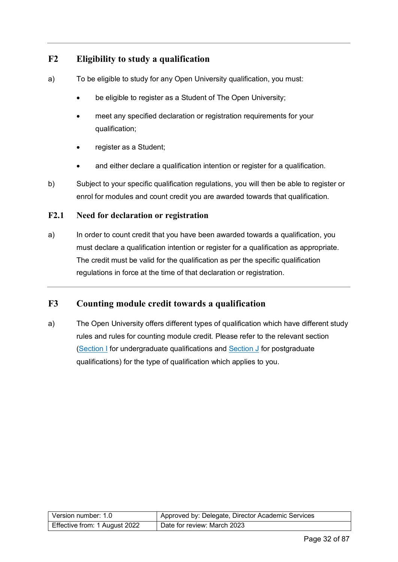# <span id="page-31-0"></span>**F2 Eligibility to study a qualification**

- a) To be eligible to study for any Open University qualification, you must:
	- be eligible to register as a Student of The Open University;
	- meet any specified declaration or registration requirements for your qualification;
	- register as a Student;
	- and either declare a qualification intention or register for a qualification.
- b) Subject to your specific qualification regulations, you will then be able to register or enrol for modules and count credit you are awarded towards that qualification.

#### **F2.1 Need for declaration or registration**

a) In order to count credit that you have been awarded towards a qualification, you must declare a qualification intention or register for a qualification as appropriate. The credit must be valid for the qualification as per the specific qualification regulations in force at the time of that declaration or registration.

### <span id="page-31-1"></span>**F3 Counting module credit towards a qualification**

a) The Open University offers different types of qualification which have different study rules and rules for counting module credit. Please refer to the relevant section [\(Section I](#page-41-2) for undergraduate qualifications and [Section J](#page-64-0) for postgraduate qualifications) for the type of qualification which applies to you.

| Version number: 1.0           | Approved by: Delegate, Director Academic Services |
|-------------------------------|---------------------------------------------------|
| Effective from: 1 August 2022 | Date for review: March 2023                       |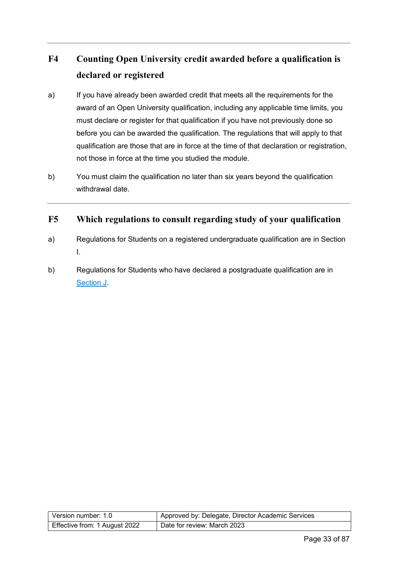# <span id="page-32-0"></span>**F4 Counting Open University credit awarded before a qualification is declared or registered**

- a) If you have already been awarded credit that meets all the requirements for the award of an Open University qualification, including any applicable time limits, you must declare or register for that qualification if you have not previously done so before you can be awarded the qualification. The regulations that will apply to that qualification are those that are in force at the time of that declaration or registration, not those in force at the time you studied the module.
- b) You must claim the qualification no later than six years beyond the qualification withdrawal date.

# <span id="page-32-1"></span>**F5 Which regulations to consult regarding study of your qualification**

- a) Regulations for Students on a registered undergraduate qualification are in Section I.
- b) Regulations for Students who have declared a postgraduate qualification are in [Section J.](#page-64-0)

| Version number: 1.0           | Approved by: Delegate, Director Academic Services |
|-------------------------------|---------------------------------------------------|
| Effective from: 1 August 2022 | Date for review: March 2023                       |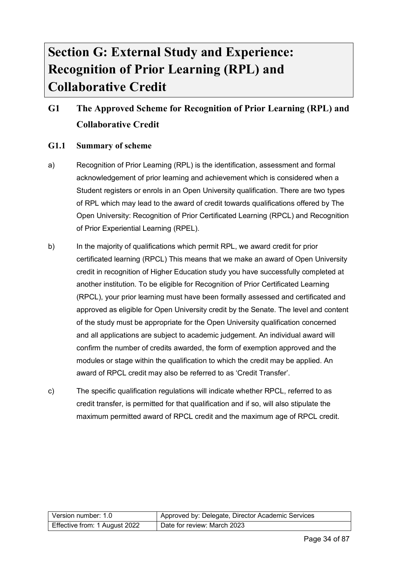# <span id="page-33-0"></span>**Section G: External Study and Experience: Recognition of Prior Learning (RPL) and Collaborative Credit**

# <span id="page-33-1"></span>**G1 The Approved Scheme for Recognition of Prior Learning (RPL) and Collaborative Credit**

#### **G1.1 Summary of scheme**

- a) Recognition of Prior Learning (RPL) is the identification, assessment and formal acknowledgement of prior learning and achievement which is considered when a Student registers or enrols in an Open University qualification. There are two types of RPL which may lead to the award of credit towards qualifications offered by The Open University: Recognition of Prior Certificated Learning (RPCL) and Recognition of Prior Experiential Learning (RPEL).
- b) In the majority of qualifications which permit RPL, we award credit for prior certificated learning (RPCL) This means that we make an award of Open University credit in recognition of Higher Education study you have successfully completed at another institution. To be eligible for Recognition of Prior Certificated Learning (RPCL), your prior learning must have been formally assessed and certificated and approved as eligible for Open University credit by the Senate. The level and content of the study must be appropriate for the Open University qualification concerned and all applications are subject to academic judgement. An individual award will confirm the number of credits awarded, the form of exemption approved and the modules or stage within the qualification to which the credit may be applied. An award of RPCL credit may also be referred to as 'Credit Transfer'.
- c) The specific qualification regulations will indicate whether RPCL, referred to as credit transfer, is permitted for that qualification and if so, will also stipulate the maximum permitted award of RPCL credit and the maximum age of RPCL credit.

| Version number: 1.0           | Approved by: Delegate, Director Academic Services |
|-------------------------------|---------------------------------------------------|
| Effective from: 1 August 2022 | Date for review: March 2023                       |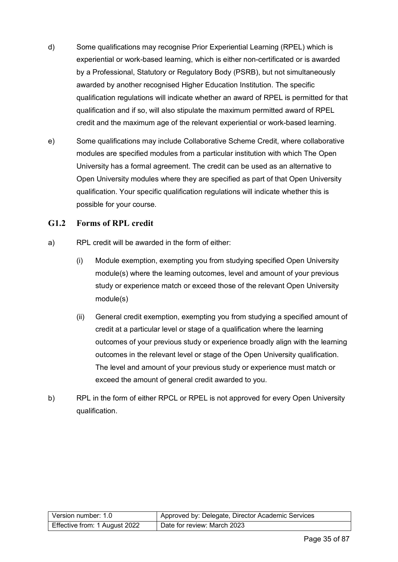- d) Some qualifications may recognise Prior Experiential Learning (RPEL) which is experiential or work-based learning, which is either non-certificated or is awarded by a Professional, Statutory or Regulatory Body (PSRB), but not simultaneously awarded by another recognised Higher Education Institution. The specific qualification regulations will indicate whether an award of RPEL is permitted for that qualification and if so, will also stipulate the maximum permitted award of RPEL credit and the maximum age of the relevant experiential or work-based learning.
- e) Some qualifications may include Collaborative Scheme Credit, where collaborative modules are specified modules from a particular institution with which The Open University has a formal agreement. The credit can be used as an alternative to Open University modules where they are specified as part of that Open University qualification. Your specific qualification regulations will indicate whether this is possible for your course.

#### **G1.2 Forms of RPL credit**

- a) RPL credit will be awarded in the form of either:
	- (i) Module exemption, exempting you from studying specified Open University module(s) where the learning outcomes, level and amount of your previous study or experience match or exceed those of the relevant Open University module(s)
	- (ii) General credit exemption, exempting you from studying a specified amount of credit at a particular level or stage of a qualification where the learning outcomes of your previous study or experience broadly align with the learning outcomes in the relevant level or stage of the Open University qualification. The level and amount of your previous study or experience must match or exceed the amount of general credit awarded to you.
- b) RPL in the form of either RPCL or RPEL is not approved for every Open University qualification.

| Version number: 1.0           | Approved by: Delegate, Director Academic Services |
|-------------------------------|---------------------------------------------------|
| Effective from: 1 August 2022 | Date for review: March 2023                       |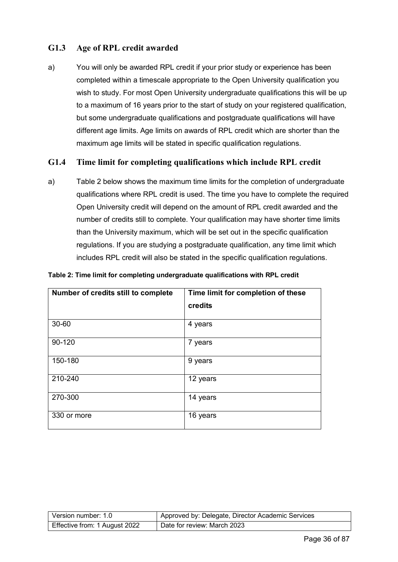### **G1.3 Age of RPL credit awarded**

a) You will only be awarded RPL credit if your prior study or experience has been completed within a timescale appropriate to the Open University qualification you wish to study. For most Open University undergraduate qualifications this will be up to a maximum of 16 years prior to the start of study on your registered qualification, but some undergraduate qualifications and postgraduate qualifications will have different age limits. Age limits on awards of RPL credit which are shorter than the maximum age limits will be stated in specific qualification regulations.

#### **G1.4 Time limit for completing qualifications which include RPL credit**

a) Table 2 below shows the maximum time limits for the completion of undergraduate qualifications where RPL credit is used. The time you have to complete the required Open University credit will depend on the amount of RPL credit awarded and the number of credits still to complete. Your qualification may have shorter time limits than the University maximum, which will be set out in the specific qualification regulations. If you are studying a postgraduate qualification, any time limit which includes RPL credit will also be stated in the specific qualification regulations.

| Table 2: Time limit for completing undergraduate qualifications with RPL credit |
|---------------------------------------------------------------------------------|
|---------------------------------------------------------------------------------|

| Number of credits still to complete | Time limit for completion of these<br>credits |
|-------------------------------------|-----------------------------------------------|
| 30-60                               | 4 years                                       |
| 90-120                              | 7 years                                       |
| 150-180                             | 9 years                                       |
| 210-240                             | 12 years                                      |
| 270-300                             | 14 years                                      |
| 330 or more                         | 16 years                                      |

| Version number: 1.0           | Approved by: Delegate, Director Academic Services |
|-------------------------------|---------------------------------------------------|
| Effective from: 1 August 2022 | Date for review: March 2023                       |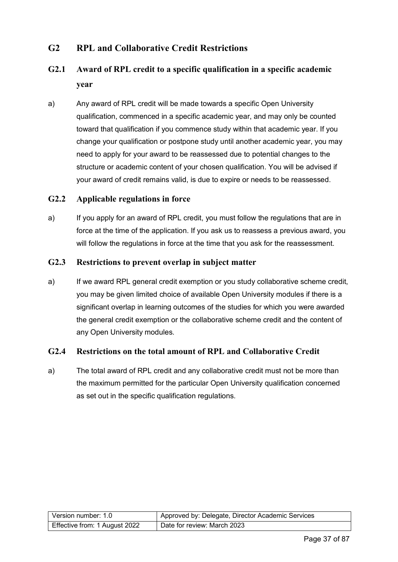#### **G2 RPL and Collaborative Credit Restrictions**

## **G2.1 Award of RPL credit to a specific qualification in a specific academic year**

a) Any award of RPL credit will be made towards a specific Open University qualification, commenced in a specific academic year, and may only be counted toward that qualification if you commence study within that academic year. If you change your qualification or postpone study until another academic year, you may need to apply for your award to be reassessed due to potential changes to the structure or academic content of your chosen qualification. You will be advised if your award of credit remains valid, is due to expire or needs to be reassessed.

#### **G2.2 Applicable regulations in force**

a) If you apply for an award of RPL credit, you must follow the regulations that are in force at the time of the application. If you ask us to reassess a previous award, you will follow the regulations in force at the time that you ask for the reassessment.

#### **G2.3 Restrictions to prevent overlap in subject matter**

a) If we award RPL general credit exemption or you study collaborative scheme credit, you may be given limited choice of available Open University modules if there is a significant overlap in learning outcomes of the studies for which you were awarded the general credit exemption or the collaborative scheme credit and the content of any Open University modules.

#### **G2.4 Restrictions on the total amount of RPL and Collaborative Credit**

a) The total award of RPL credit and any collaborative credit must not be more than the maximum permitted for the particular Open University qualification concerned as set out in the specific qualification regulations.

| Version number: 1.0           | Approved by: Delegate, Director Academic Services |
|-------------------------------|---------------------------------------------------|
| Effective from: 1 August 2022 | Date for review: March 2023                       |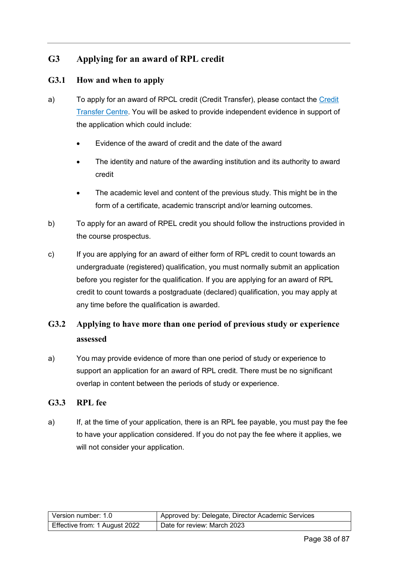#### **G3 Applying for an award of RPL credit**

#### **G3.1 How and when to apply**

- a) To apply for an award of RPCL credit (Credit Transfer), please contact the [Credit](http://www.open.ac.uk/study/credit-transfer/)  [Transfer Centre.](http://www.open.ac.uk/study/credit-transfer/) You will be asked to provide independent evidence in support of the application which could include:
	- Evidence of the award of credit and the date of the award
	- The identity and nature of the awarding institution and its authority to award credit
	- The academic level and content of the previous study. This might be in the form of a certificate, academic transcript and/or learning outcomes.
- b) To apply for an award of RPEL credit you should follow the instructions provided in the course prospectus.
- c) If you are applying for an award of either form of RPL credit to count towards an undergraduate (registered) qualification, you must normally submit an application before you register for the qualification. If you are applying for an award of RPL credit to count towards a postgraduate (declared) qualification, you may apply at any time before the qualification is awarded.

## **G3.2 Applying to have more than one period of previous study or experience assessed**

a) You may provide evidence of more than one period of study or experience to support an application for an award of RPL credit. There must be no significant overlap in content between the periods of study or experience.

#### **G3.3 RPL fee**

a) If, at the time of your application, there is an RPL fee payable, you must pay the fee to have your application considered. If you do not pay the fee where it applies, we will not consider your application.

| Version number: 1.0           | Approved by: Delegate, Director Academic Services |
|-------------------------------|---------------------------------------------------|
| Effective from: 1 August 2022 | Date for review: March 2023                       |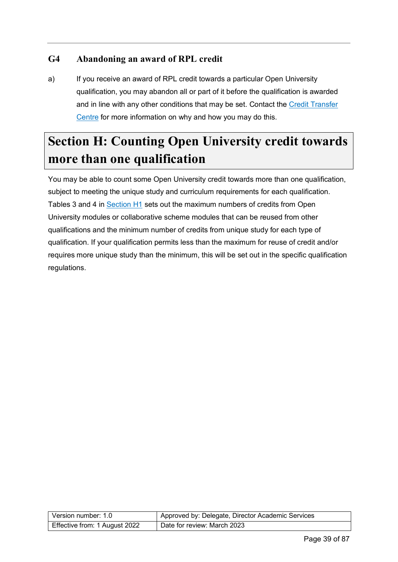#### **G4 Abandoning an award of RPL credit**

a) If you receive an award of RPL credit towards a particular Open University qualification, you may abandon all or part of it before the qualification is awarded and in line with any other conditions that may be set. Contact the [Credit Transfer](http://www.open.ac.uk/study/credit-transfer/)  [Centre](http://www.open.ac.uk/study/credit-transfer/) for more information on why and how you may do this.

# <span id="page-38-0"></span>**Section H: Counting Open University credit towards more than one qualification**

You may be able to count some Open University credit towards more than one qualification, subject to meeting the unique study and curriculum requirements for each qualification. Tables 3 and 4 in [Section H1](#page-39-0) sets out the maximum numbers of credits from Open University modules or collaborative scheme modules that can be reused from other qualifications and the minimum number of credits from unique study for each type of qualification. If your qualification permits less than the maximum for reuse of credit and/or requires more unique study than the minimum, this will be set out in the specific qualification regulations.

| Version number: 1.0           | Approved by: Delegate, Director Academic Services |
|-------------------------------|---------------------------------------------------|
| Effective from: 1 August 2022 | Date for review: March 2023                       |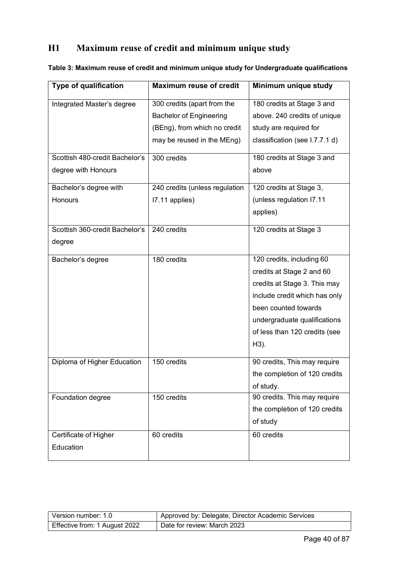## <span id="page-39-0"></span>**H1 Maximum reuse of credit and minimum unique study**

| <b>Type of qualification</b>   | <b>Maximum reuse of credit</b> | Minimum unique study           |
|--------------------------------|--------------------------------|--------------------------------|
| Integrated Master's degree     | 300 credits (apart from the    | 180 credits at Stage 3 and     |
|                                | <b>Bachelor of Engineering</b> | above. 240 credits of unique   |
|                                | (BEng), from which no credit   | study are required for         |
|                                | may be reused in the MEng)     | classification (see I.7.7.1 d) |
| Scottish 480-credit Bachelor's | 300 credits                    | 180 credits at Stage 3 and     |
| degree with Honours            |                                | above                          |
| Bachelor's degree with         | 240 credits (unless regulation | 120 credits at Stage 3,        |
| Honours                        | I7.11 applies)                 | (unless regulation I7.11       |
|                                |                                | applies)                       |
| Scottish 360-credit Bachelor's | 240 credits                    | 120 credits at Stage 3         |
| degree                         |                                |                                |
| Bachelor's degree              | 180 credits                    | 120 credits, including 60      |
|                                |                                | credits at Stage 2 and 60      |
|                                |                                | credits at Stage 3. This may   |
|                                |                                | include credit which has only  |
|                                |                                | been counted towards           |
|                                |                                | undergraduate qualifications   |
|                                |                                | of less than 120 credits (see  |
|                                |                                | H3).                           |
| Diploma of Higher Education    | 150 credits                    | 90 credits, This may require   |
|                                |                                | the completion of 120 credits  |
|                                |                                | of study.                      |
| Foundation degree              | 150 credits                    | 90 credits. This may require   |
|                                |                                | the completion of 120 credits  |
|                                |                                | of study                       |
| Certificate of Higher          | 60 credits                     | 60 credits                     |
| Education                      |                                |                                |
|                                |                                |                                |

**Table 3: Maximum reuse of credit and minimum unique study for Undergraduate qualifications**

| Version number: 1.0           | Approved by: Delegate, Director Academic Services |
|-------------------------------|---------------------------------------------------|
| Effective from: 1 August 2022 | Date for review: March 2023                       |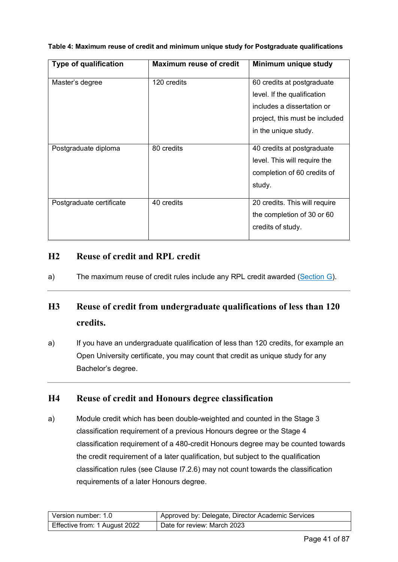| <b>Type of qualification</b> | <b>Maximum reuse of credit</b> | Minimum unique study           |
|------------------------------|--------------------------------|--------------------------------|
| Master's degree              | 120 credits                    | 60 credits at postgraduate     |
|                              |                                | level. If the qualification    |
|                              |                                | includes a dissertation or     |
|                              |                                | project, this must be included |
|                              |                                | in the unique study.           |
| Postgraduate diploma         | 80 credits                     | 40 credits at postgraduate     |
|                              |                                | level. This will require the   |
|                              |                                | completion of 60 credits of    |
|                              |                                | study.                         |
| Postgraduate certificate     | 40 credits                     | 20 credits. This will require  |
|                              |                                | the completion of 30 or 60     |
|                              |                                | credits of study.              |

**Table 4: Maximum reuse of credit and minimum unique study for Postgraduate qualifications**

#### **H2 Reuse of credit and RPL credit**

a) The maximum reuse of credit rules include any RPL credit awarded [\(Section G\)](#page-33-0).

## **H3 Reuse of credit from undergraduate qualifications of less than 120 credits.**

a) If you have an undergraduate qualification of less than 120 credits, for example an Open University certificate, you may count that credit as unique study for any Bachelor's degree.

#### **H4 Reuse of credit and Honours degree classification**

a) Module credit which has been double-weighted and counted in the Stage 3 classification requirement of a previous Honours degree or the Stage 4 classification requirement of a 480-credit Honours degree may be counted towards the credit requirement of a later qualification, but subject to the qualification classification rules (see Clause I7.2.6) may not count towards the classification requirements of a later Honours degree.

| Version number: 1.0           | Approved by: Delegate, Director Academic Services |
|-------------------------------|---------------------------------------------------|
| Effective from: 1 August 2022 | Date for review: March 2023                       |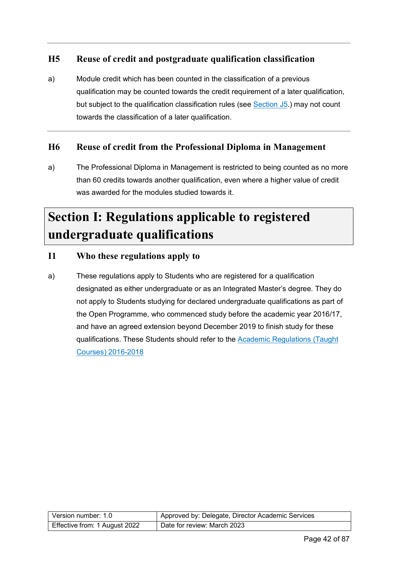#### **H5 Reuse of credit and postgraduate qualification classification**

a) Module credit which has been counted in the classification of a previous qualification may be counted towards the credit requirement of a later qualification, but subject to the qualification classification rules (see [Section J5.](#page-67-0)) may not count towards the classification of a later qualification.

#### **H6 Reuse of credit from the Professional Diploma in Management**

a) The Professional Diploma in Management is restricted to being counted as no more than 60 credits towards another qualification, even where a higher value of credit was awarded for the modules studied towards it.

# **Section I: Regulations applicable to registered undergraduate qualifications**

#### **I1 Who these regulations apply to**

a) These regulations apply to Students who are registered for a qualification designated as either undergraduate or as an Integrated Master's degree. They do not apply to Students studying for declared undergraduate qualifications as part of the Open Programme, who commenced study before the academic year 2016/17, and have an agreed extension beyond December 2019 to finish study for these qualifications. These Students should refer to the [Academic Regulations \(Taught](https://help.open.ac.uk/documents/policies/academic-regulations/files/63/academic-regulations-taught-courses-2016.pdf)  [Courses\) 2016-2018](https://help.open.ac.uk/documents/policies/academic-regulations/files/63/academic-regulations-taught-courses-2016.pdf)

| Version number: 1.0           | Approved by: Delegate, Director Academic Services |
|-------------------------------|---------------------------------------------------|
| Effective from: 1 August 2022 | Date for review: March 2023                       |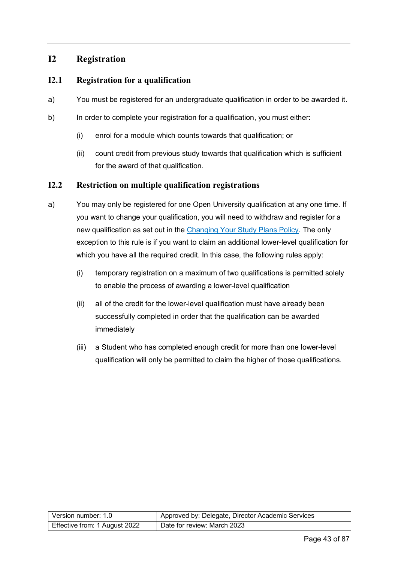#### **I2 Registration**

#### **I2.1 Registration for a qualification**

- a) You must be registered for an undergraduate qualification in order to be awarded it.
- b) In order to complete your registration for a qualification, you must either:
	- (i) enrol for a module which counts towards that qualification; or
	- (ii) count credit from previous study towards that qualification which is sufficient for the award of that qualification.

#### **I2.2 Restriction on multiple qualification registrations**

- a) You may only be registered for one Open University qualification at any one time. If you want to change your qualification, you will need to withdraw and register for a new qualification as set out in the [Changing Your Study Plans Policy.](https://help.open.ac.uk/documents/policies/changing-your-study-plans) The only exception to this rule is if you want to claim an additional lower-level qualification for which you have all the required credit. In this case, the following rules apply:
	- (i) temporary registration on a maximum of two qualifications is permitted solely to enable the process of awarding a lower-level qualification
	- (ii) all of the credit for the lower-level qualification must have already been successfully completed in order that the qualification can be awarded immediately
	- (iii) a Student who has completed enough credit for more than one lower-level qualification will only be permitted to claim the higher of those qualifications.

| Version number: 1.0           | Approved by: Delegate, Director Academic Services |
|-------------------------------|---------------------------------------------------|
| Effective from: 1 August 2022 | Date for review: March 2023                       |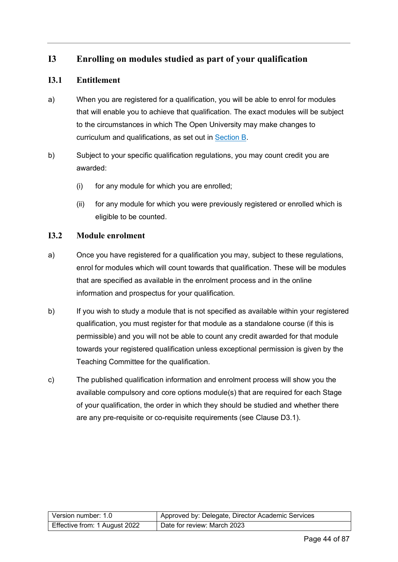#### **I3 Enrolling on modules studied as part of your qualification**

#### **I3.1 Entitlement**

- a) When you are registered for a qualification, you will be able to enrol for modules that will enable you to achieve that qualification. The exact modules will be subject to the circumstances in which The Open University may make changes to curriculum and qualifications, as set out in [Section B.](#page-12-0)
- b) Subject to your specific qualification regulations, you may count credit you are awarded:
	- (i) for any module for which you are enrolled;
	- (ii) for any module for which you were previously registered or enrolled which is eligible to be counted.

#### **I3.2 Module enrolment**

- a) Once you have registered for a qualification you may, subject to these regulations, enrol for modules which will count towards that qualification. These will be modules that are specified as available in the enrolment process and in the online information and prospectus for your qualification.
- b) If you wish to study a module that is not specified as available within your registered qualification, you must register for that module as a standalone course (if this is permissible) and you will not be able to count any credit awarded for that module towards your registered qualification unless exceptional permission is given by the Teaching Committee for the qualification.
- c) The published qualification information and enrolment process will show you the available compulsory and core options module(s) that are required for each Stage of your qualification, the order in which they should be studied and whether there are any pre-requisite or co-requisite requirements (see Clause D3.1).

| Version number: 1.0           | Approved by: Delegate, Director Academic Services |
|-------------------------------|---------------------------------------------------|
| Effective from: 1 August 2022 | Date for review: March 2023                       |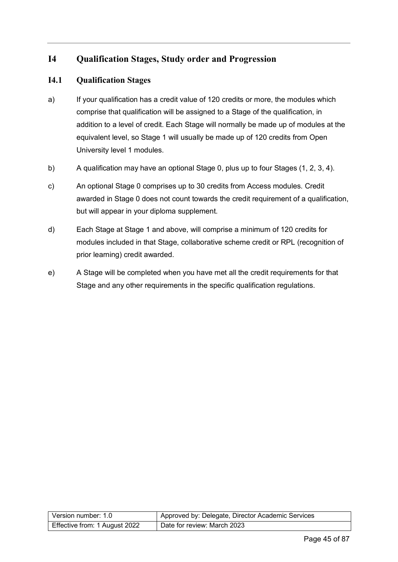#### **I4 Qualification Stages, Study order and Progression**

#### **I4.1 Qualification Stages**

- a) If your qualification has a credit value of 120 credits or more, the modules which comprise that qualification will be assigned to a Stage of the qualification, in addition to a level of credit. Each Stage will normally be made up of modules at the equivalent level, so Stage 1 will usually be made up of 120 credits from Open University level 1 modules.
- b) A qualification may have an optional Stage 0, plus up to four Stages (1, 2, 3, 4).
- c) An optional Stage 0 comprises up to 30 credits from Access modules. Credit awarded in Stage 0 does not count towards the credit requirement of a qualification, but will appear in your diploma supplement.
- d) Each Stage at Stage 1 and above, will comprise a minimum of 120 credits for modules included in that Stage, collaborative scheme credit or RPL (recognition of prior learning) credit awarded.
- e) A Stage will be completed when you have met all the credit requirements for that Stage and any other requirements in the specific qualification regulations.

| Version number: 1.0           | Approved by: Delegate, Director Academic Services |
|-------------------------------|---------------------------------------------------|
| Effective from: 1 August 2022 | Date for review: March 2023                       |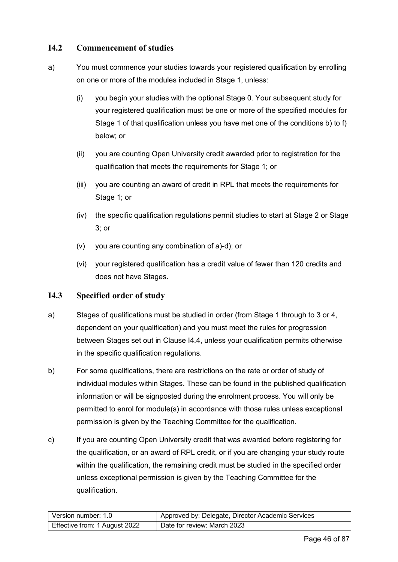#### **I4.2 Commencement of studies**

- a) You must commence your studies towards your registered qualification by enrolling on one or more of the modules included in Stage 1, unless:
	- (i) you begin your studies with the optional Stage 0. Your subsequent study for your registered qualification must be one or more of the specified modules for Stage 1 of that qualification unless you have met one of the conditions b) to f) below; or
	- (ii) you are counting Open University credit awarded prior to registration for the qualification that meets the requirements for Stage 1; or
	- (iii) you are counting an award of credit in RPL that meets the requirements for Stage 1; or
	- (iv) the specific qualification regulations permit studies to start at Stage 2 or Stage 3; or
	- (v) you are counting any combination of a)-d); or
	- (vi) your registered qualification has a credit value of fewer than 120 credits and does not have Stages.

#### **I4.3 Specified order of study**

- a) Stages of qualifications must be studied in order (from Stage 1 through to 3 or 4, dependent on your qualification) and you must meet the rules for progression between Stages set out in Clause I4.4, unless your qualification permits otherwise in the specific qualification regulations.
- b) For some qualifications, there are restrictions on the rate or order of study of individual modules within Stages. These can be found in the published qualification information or will be signposted during the enrolment process. You will only be permitted to enrol for module(s) in accordance with those rules unless exceptional permission is given by the Teaching Committee for the qualification.
- c) If you are counting Open University credit that was awarded before registering for the qualification, or an award of RPL credit, or if you are changing your study route within the qualification, the remaining credit must be studied in the specified order unless exceptional permission is given by the Teaching Committee for the qualification.

| Version number: 1.0           | Approved by: Delegate, Director Academic Services |
|-------------------------------|---------------------------------------------------|
| Effective from: 1 August 2022 | Date for review: March 2023                       |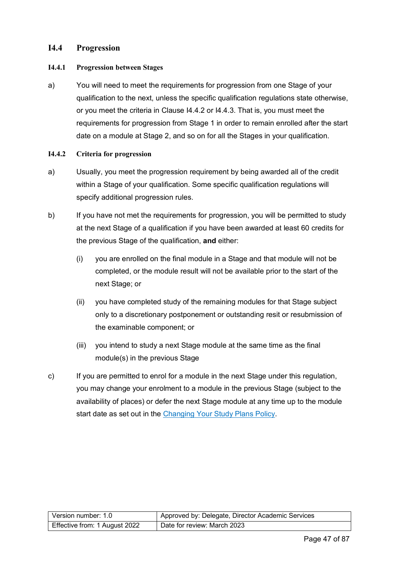#### **I4.4 Progression**

#### **I4.4.1 Progression between Stages**

a) You will need to meet the requirements for progression from one Stage of your qualification to the next, unless the specific qualification regulations state otherwise, or you meet the criteria in Clause I4.4.2 or I4.4.3. That is, you must meet the requirements for progression from Stage 1 in order to remain enrolled after the start date on a module at Stage 2, and so on for all the Stages in your qualification.

#### **I4.4.2 Criteria for progression**

- a) Usually, you meet the progression requirement by being awarded all of the credit within a Stage of your qualification. Some specific qualification regulations will specify additional progression rules.
- b) If you have not met the requirements for progression, you will be permitted to study at the next Stage of a qualification if you have been awarded at least 60 credits for the previous Stage of the qualification, **and** either:
	- (i) you are enrolled on the final module in a Stage and that module will not be completed, or the module result will not be available prior to the start of the next Stage; or
	- (ii) you have completed study of the remaining modules for that Stage subject only to a discretionary postponement or outstanding resit or resubmission of the examinable component; or
	- (iii) you intend to study a next Stage module at the same time as the final module(s) in the previous Stage
- c) If you are permitted to enrol for a module in the next Stage under this regulation, you may change your enrolment to a module in the previous Stage (subject to the availability of places) or defer the next Stage module at any time up to the module start date as set out in the [Changing Your Study Plans Policy.](https://help.open.ac.uk/documents/policies/changing-your-study-plans)

| Version number: 1.0           | Approved by: Delegate, Director Academic Services |
|-------------------------------|---------------------------------------------------|
| Effective from: 1 August 2022 | Date for review: March 2023                       |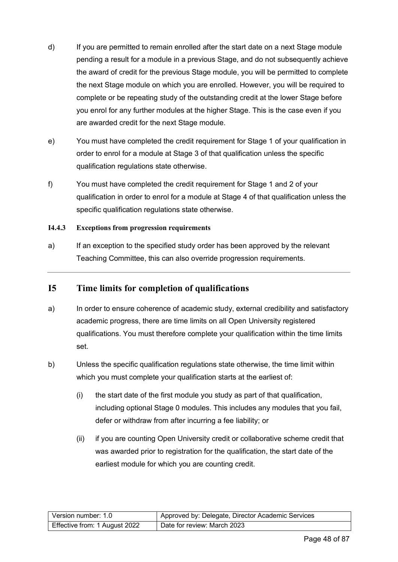- d) If you are permitted to remain enrolled after the start date on a next Stage module pending a result for a module in a previous Stage, and do not subsequently achieve the award of credit for the previous Stage module, you will be permitted to complete the next Stage module on which you are enrolled. However, you will be required to complete or be repeating study of the outstanding credit at the lower Stage before you enrol for any further modules at the higher Stage. This is the case even if you are awarded credit for the next Stage module.
- e) You must have completed the credit requirement for Stage 1 of your qualification in order to enrol for a module at Stage 3 of that qualification unless the specific qualification regulations state otherwise.
- f) You must have completed the credit requirement for Stage 1 and 2 of your qualification in order to enrol for a module at Stage 4 of that qualification unless the specific qualification regulations state otherwise.

#### **I4.4.3 Exceptions from progression requirements**

a) If an exception to the specified study order has been approved by the relevant Teaching Committee, this can also override progression requirements.

#### **I5 Time limits for completion of qualifications**

- a) In order to ensure coherence of academic study, external credibility and satisfactory academic progress, there are time limits on all Open University registered qualifications. You must therefore complete your qualification within the time limits set.
- b) Unless the specific qualification regulations state otherwise, the time limit within which you must complete your qualification starts at the earliest of:
	- (i) the start date of the first module you study as part of that qualification, including optional Stage 0 modules. This includes any modules that you fail, defer or withdraw from after incurring a fee liability; or
	- (ii) if you are counting Open University credit or collaborative scheme credit that was awarded prior to registration for the qualification, the start date of the earliest module for which you are counting credit.

| Version number: 1.0           | Approved by: Delegate, Director Academic Services |
|-------------------------------|---------------------------------------------------|
| Effective from: 1 August 2022 | Date for review: March 2023                       |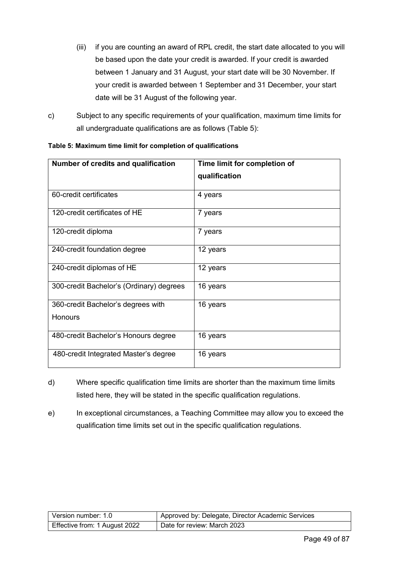- (iii) if you are counting an award of RPL credit, the start date allocated to you will be based upon the date your credit is awarded. If your credit is awarded between 1 January and 31 August, your start date will be 30 November. If your credit is awarded between 1 September and 31 December, your start date will be 31 August of the following year.
- c) Subject to any specific requirements of your qualification, maximum time limits for all undergraduate qualifications are as follows (Table 5):

| Number of credits and qualification      | Time limit for completion of |
|------------------------------------------|------------------------------|
|                                          | qualification                |
| 60-credit certificates                   | 4 years                      |
| 120-credit certificates of HE            | 7 years                      |
| 120-credit diploma                       | 7 years                      |
| 240-credit foundation degree             | 12 years                     |
| 240-credit diplomas of HE                | 12 years                     |
| 300-credit Bachelor's (Ordinary) degrees | 16 years                     |
| 360-credit Bachelor's degrees with       | 16 years                     |
| <b>Honours</b>                           |                              |
| 480-credit Bachelor's Honours degree     | 16 years                     |
| 480-credit Integrated Master's degree    | 16 years                     |

**Table 5: Maximum time limit for completion of qualifications**

- d) Where specific qualification time limits are shorter than the maximum time limits listed here, they will be stated in the specific qualification regulations.
- e) In exceptional circumstances, a Teaching Committee may allow you to exceed the qualification time limits set out in the specific qualification regulations.

| Version number: 1.0           | Approved by: Delegate, Director Academic Services |
|-------------------------------|---------------------------------------------------|
| Effective from: 1 August 2022 | Date for review: March 2023                       |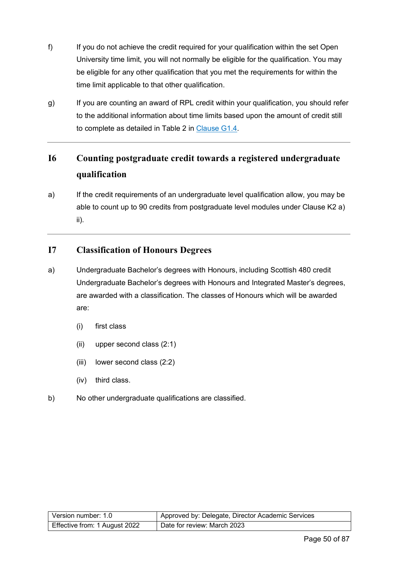- f) If you do not achieve the credit required for your qualification within the set Open University time limit, you will not normally be eligible for the qualification. You may be eligible for any other qualification that you met the requirements for within the time limit applicable to that other qualification.
- g) If you are counting an award of RPL credit within your qualification, you should refer to the additional information about time limits based upon the amount of credit still to complete as detailed in Table 2 in [Clause G1.4.](#page-35-0)

## **I6 Counting postgraduate credit towards a registered undergraduate qualification**

a) If the credit requirements of an undergraduate level qualification allow, you may be able to count up to 90 credits from postgraduate level modules under Clause K2 a) ii).

#### **I7 Classification of Honours Degrees**

- a) Undergraduate Bachelor's degrees with Honours, including Scottish 480 credit Undergraduate Bachelor's degrees with Honours and Integrated Master's degrees, are awarded with a classification. The classes of Honours which will be awarded are:
	- (i) first class
	- (ii) upper second class (2:1)
	- (iii) lower second class (2:2)
	- (iv) third class.
- b) No other undergraduate qualifications are classified.

| Version number: 1.0           | Approved by: Delegate, Director Academic Services |
|-------------------------------|---------------------------------------------------|
| Effective from: 1 August 2022 | Date for review: March 2023                       |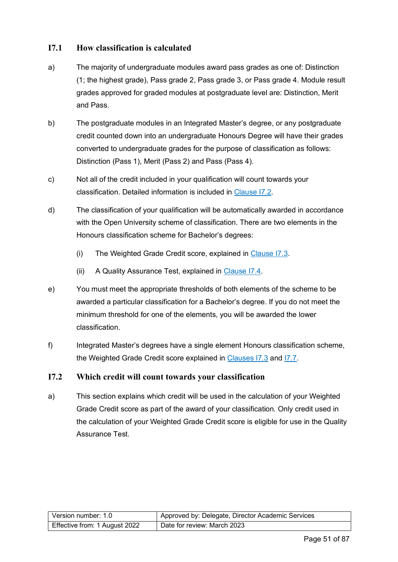#### <span id="page-50-1"></span>**I7.1 How classification is calculated**

- a) The majority of undergraduate modules award pass grades as one of: Distinction (1; the highest grade), Pass grade 2, Pass grade 3, or Pass grade 4. Module result grades approved for graded modules at postgraduate level are: Distinction, Merit and Pass.
- b) The postgraduate modules in an Integrated Master's degree, or any postgraduate credit counted down into an undergraduate Honours Degree will have their grades converted to undergraduate grades for the purpose of classification as follows: Distinction (Pass 1), Merit (Pass 2) and Pass (Pass 4).
- c) Not all of the credit included in your qualification will count towards your classification. Detailed information is included in [Clause I7.2.](#page-50-0)
- d) The classification of your qualification will be automatically awarded in accordance with the Open University scheme of classification. There are two elements in the Honours classification scheme for Bachelor's degrees:
	- (i) The Weighted Grade Credit score, explained in [Clause I7.3.](#page-52-0)
	- (ii) A Quality Assurance Test, explained in [Clause I7.4.](#page-53-0)
- e) You must meet the appropriate thresholds of both elements of the scheme to be awarded a particular classification for a Bachelor's degree. If you do not meet the minimum threshold for one of the elements, you will be awarded the lower classification.
- f) Integrated Master's degrees have a single element Honours classification scheme, the Weighted Grade Credit score explained in [Clauses I7.3](#page-52-0) and [I7.7.](#page-57-0)

#### <span id="page-50-0"></span>**I7.2 Which credit will count towards your classification**

a) This section explains which credit will be used in the calculation of your Weighted Grade Credit score as part of the award of your classification. Only credit used in the calculation of your Weighted Grade Credit score is eligible for use in the Quality Assurance Test.

| Version number: 1.0           | Approved by: Delegate, Director Academic Services |
|-------------------------------|---------------------------------------------------|
| Effective from: 1 August 2022 | Date for review: March 2023                       |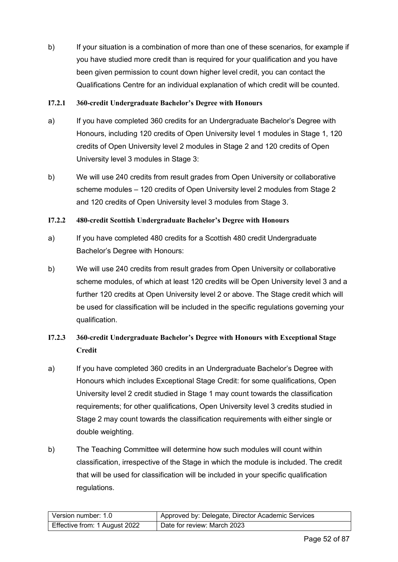b) If your situation is a combination of more than one of these scenarios, for example if you have studied more credit than is required for your qualification and you have been given permission to count down higher level credit, you can contact the Qualifications Centre for an individual explanation of which credit will be counted.

#### **I7.2.1 360-credit Undergraduate Bachelor's Degree with Honours**

- a) If you have completed 360 credits for an Undergraduate Bachelor's Degree with Honours, including 120 credits of Open University level 1 modules in Stage 1, 120 credits of Open University level 2 modules in Stage 2 and 120 credits of Open University level 3 modules in Stage 3:
- b) We will use 240 credits from result grades from Open University or collaborative scheme modules – 120 credits of Open University level 2 modules from Stage 2 and 120 credits of Open University level 3 modules from Stage 3.

#### **I7.2.2 480-credit Scottish Undergraduate Bachelor's Degree with Honours**

- a) If you have completed 480 credits for a Scottish 480 credit Undergraduate Bachelor's Degree with Honours:
- b) We will use 240 credits from result grades from Open University or collaborative scheme modules, of which at least 120 credits will be Open University level 3 and a further 120 credits at Open University level 2 or above. The Stage credit which will be used for classification will be included in the specific regulations governing your qualification.

#### **I7.2.3 360-credit Undergraduate Bachelor's Degree with Honours with Exceptional Stage Credit**

- a) If you have completed 360 credits in an Undergraduate Bachelor's Degree with Honours which includes Exceptional Stage Credit: for some qualifications, Open University level 2 credit studied in Stage 1 may count towards the classification requirements; for other qualifications, Open University level 3 credits studied in Stage 2 may count towards the classification requirements with either single or double weighting.
- b) The Teaching Committee will determine how such modules will count within classification, irrespective of the Stage in which the module is included. The credit that will be used for classification will be included in your specific qualification regulations.

| Version number: 1.0           | Approved by: Delegate, Director Academic Services |
|-------------------------------|---------------------------------------------------|
| Effective from: 1 August 2022 | Date for review: March 2023                       |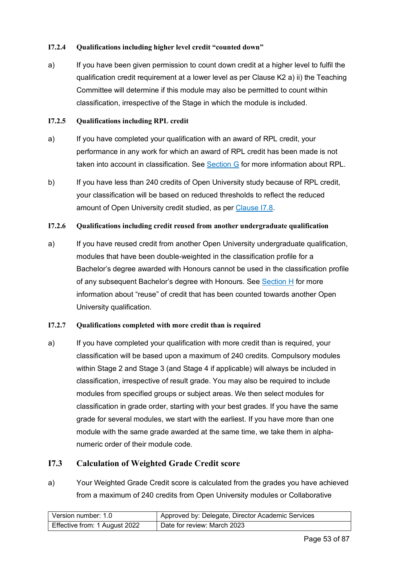#### **I7.2.4 Qualifications including higher level credit "counted down"**

a) If you have been given permission to count down credit at a higher level to fulfil the qualification credit requirement at a lower level as per Clause K2 a) ii) the Teaching Committee will determine if this module may also be permitted to count within classification, irrespective of the Stage in which the module is included.

#### **I7.2.5 Qualifications including RPL credit**

- a) If you have completed your qualification with an award of RPL credit, your performance in any work for which an award of RPL credit has been made is not taken into account in classification. See [Section G](#page-33-0) for more information about RPL.
- b) If you have less than 240 credits of Open University study because of RPL credit, your classification will be based on reduced thresholds to reflect the reduced amount of Open University credit studied, as per [Clause I7.8.](#page-60-0)

#### **I7.2.6 Qualifications including credit reused from another undergraduate qualification**

a) If you have reused credit from another Open University undergraduate qualification, modules that have been double-weighted in the classification profile for a Bachelor's degree awarded with Honours cannot be used in the classification profile of any subsequent Bachelor's degree with Honours. See [Section H](#page-38-0) for more information about "reuse" of credit that has been counted towards another Open University qualification.

#### **I7.2.7 Qualifications completed with more credit than is required**

a) If you have completed your qualification with more credit than is required, your classification will be based upon a maximum of 240 credits. Compulsory modules within Stage 2 and Stage 3 (and Stage 4 if applicable) will always be included in classification, irrespective of result grade. You may also be required to include modules from specified groups or subject areas. We then select modules for classification in grade order, starting with your best grades. If you have the same grade for several modules, we start with the earliest. If you have more than one module with the same grade awarded at the same time, we take them in alphanumeric order of their module code.

#### <span id="page-52-0"></span>**I7.3 Calculation of Weighted Grade Credit score**

a) Your Weighted Grade Credit score is calculated from the grades you have achieved from a maximum of 240 credits from Open University modules or Collaborative

| Version number: 1.0           | Approved by: Delegate, Director Academic Services |  |
|-------------------------------|---------------------------------------------------|--|
| Effective from: 1 August 2022 | Date for review: March 2023                       |  |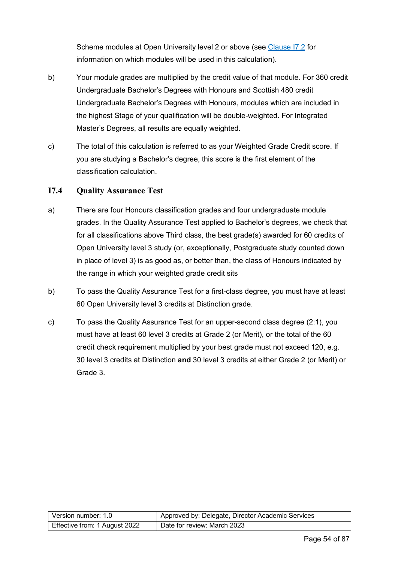Scheme modules at Open University level 2 or above (see [Clause I7.2](#page-50-0) for information on which modules will be used in this calculation).

- b) Your module grades are multiplied by the credit value of that module. For 360 credit Undergraduate Bachelor's Degrees with Honours and Scottish 480 credit Undergraduate Bachelor's Degrees with Honours, modules which are included in the highest Stage of your qualification will be double-weighted. For Integrated Master's Degrees, all results are equally weighted.
- c) The total of this calculation is referred to as your Weighted Grade Credit score. If you are studying a Bachelor's degree, this score is the first element of the classification calculation.

#### <span id="page-53-0"></span>**I7.4 Quality Assurance Test**

- a) There are four Honours classification grades and four undergraduate module grades. In the Quality Assurance Test applied to Bachelor's degrees, we check that for all classifications above Third class, the best grade(s) awarded for 60 credits of Open University level 3 study (or, exceptionally, Postgraduate study counted down in place of level 3) is as good as, or better than, the class of Honours indicated by the range in which your weighted grade credit sits
- b) To pass the Quality Assurance Test for a first-class degree, you must have at least 60 Open University level 3 credits at Distinction grade.
- c) To pass the Quality Assurance Test for an upper-second class degree (2:1), you must have at least 60 level 3 credits at Grade 2 (or Merit), or the total of the 60 credit check requirement multiplied by your best grade must not exceed 120, e.g. 30 level 3 credits at Distinction **and** 30 level 3 credits at either Grade 2 (or Merit) or Grade 3.

| Version number: 1.0           | Approved by: Delegate, Director Academic Services |
|-------------------------------|---------------------------------------------------|
| Effective from: 1 August 2022 | Date for review: March 2023                       |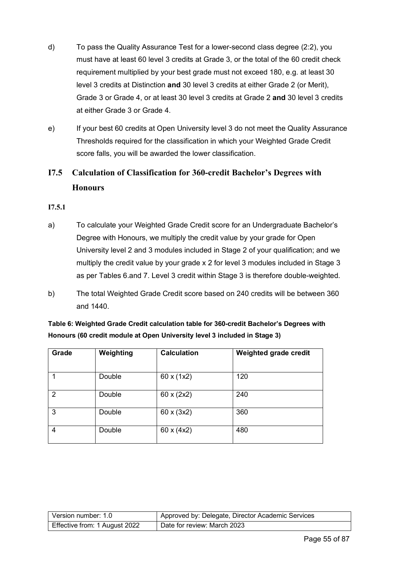- d) To pass the Quality Assurance Test for a lower-second class degree (2:2), you must have at least 60 level 3 credits at Grade 3, or the total of the 60 credit check requirement multiplied by your best grade must not exceed 180, e.g. at least 30 level 3 credits at Distinction **and** 30 level 3 credits at either Grade 2 (or Merit), Grade 3 or Grade 4, or at least 30 level 3 credits at Grade 2 **and** 30 level 3 credits at either Grade 3 or Grade 4.
- e) If your best 60 credits at Open University level 3 do not meet the Quality Assurance Thresholds required for the classification in which your Weighted Grade Credit score falls, you will be awarded the lower classification.

### **I7.5 Calculation of Classification for 360-credit Bachelor's Degrees with Honours**

#### **I7.5.1**

- a) To calculate your Weighted Grade Credit score for an Undergraduate Bachelor's Degree with Honours, we multiply the credit value by your grade for Open University level 2 and 3 modules included in Stage 2 of your qualification; and we multiply the credit value by your grade x 2 for level 3 modules included in Stage 3 as per Tables 6.and 7. Level 3 credit within Stage 3 is therefore double-weighted.
- b) The total Weighted Grade Credit score based on 240 credits will be between 360 and 1440.

**Table 6: Weighted Grade Credit calculation table for 360-credit Bachelor's Degrees with Honours (60 credit module at Open University level 3 included in Stage 3)**

| Grade         | Weighting | <b>Calculation</b>       | Weighted grade credit |
|---------------|-----------|--------------------------|-----------------------|
|               |           |                          |                       |
|               | Double    | 60 x (1x2)               | 120                   |
| $\mathcal{P}$ | Double    | $60 \times (2 \times 2)$ | 240                   |
| 3             | Double    | $60 \times (3x2)$        | 360                   |
| 4             | Double    | $60 \times (4x2)$        | 480                   |

| Version number: 1.0           | <sup>1</sup> Approved by: Delegate, Director Academic Services |
|-------------------------------|----------------------------------------------------------------|
| Effective from: 1 August 2022 | Date for review: March 2023                                    |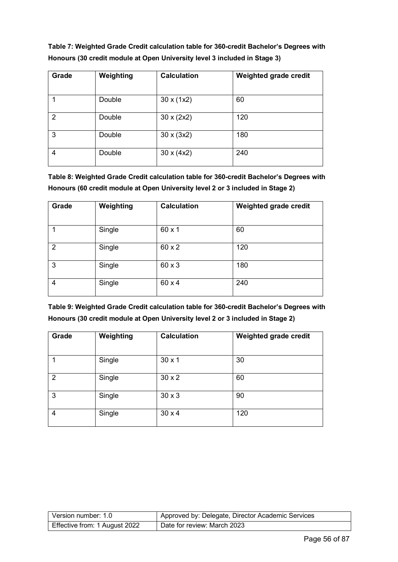**Table 7: Weighted Grade Credit calculation table for 360-credit Bachelor's Degrees with Honours (30 credit module at Open University level 3 included in Stage 3)**

| Grade | Weighting | <b>Calculation</b> | Weighted grade credit |
|-------|-----------|--------------------|-----------------------|
|       |           |                    |                       |
|       | Double    | 30 x (1x2)         | 60                    |
| 2     | Double    | $30 \times (2x2)$  | 120                   |
| 3     | Double    | $30 \times (3x2)$  | 180                   |
| 4     | Double    | $30 \times (4x2)$  | 240                   |

**Table 8: Weighted Grade Credit calculation table for 360-credit Bachelor's Degrees with Honours (60 credit module at Open University level 2 or 3 included in Stage 2)**

| Grade          | Weighting | <b>Calculation</b> | Weighted grade credit |
|----------------|-----------|--------------------|-----------------------|
|                | Single    | $60 \times 1$      | 60                    |
| $\overline{2}$ | Single    | 60 x 2             | 120                   |
| 3              | Single    | 60 x 3             | 180                   |
| 4              | Single    | 60 x 4             | 240                   |

**Table 9: Weighted Grade Credit calculation table for 360-credit Bachelor's Degrees with Honours (30 credit module at Open University level 2 or 3 included in Stage 2)**

| Grade | Weighting | <b>Calculation</b> | Weighted grade credit |
|-------|-----------|--------------------|-----------------------|
|       |           |                    |                       |
|       | Single    | $30 \times 1$      | 30                    |
| 2     | Single    | $30 \times 2$      | 60                    |
| 3     | Single    | $30 \times 3$      | 90                    |
| 4     | Single    | $30 \times 4$      | 120                   |

| Version number: 1.0           | Approved by: Delegate, Director Academic Services |
|-------------------------------|---------------------------------------------------|
| Effective from: 1 August 2022 | Date for review: March 2023                       |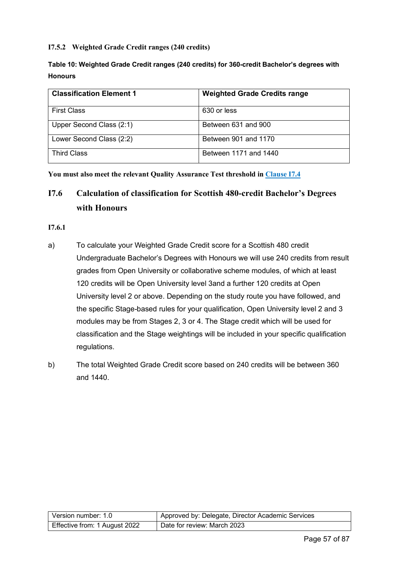#### **I7.5.2 Weighted Grade Credit ranges (240 credits)**

| Table 10: Weighted Grade Credit ranges (240 credits) for 360-credit Bachelor's degrees with |  |
|---------------------------------------------------------------------------------------------|--|
| <b>Honours</b>                                                                              |  |

| <b>Classification Element 1</b> | <b>Weighted Grade Credits range</b> |
|---------------------------------|-------------------------------------|
| <b>First Class</b>              | 630 or less                         |
| Upper Second Class (2:1)        | Between 631 and 900                 |
| Lower Second Class (2:2)        | Between 901 and 1170                |
| <b>Third Class</b>              | Between 1171 and 1440               |

**You must also meet the relevant Quality Assurance Test threshold in [Clause I7.4](#page-53-0)**

## **I7.6 Calculation of classification for Scottish 480-credit Bachelor's Degrees with Honours**

#### **I7.6.1**

- a) To calculate your Weighted Grade Credit score for a Scottish 480 credit Undergraduate Bachelor's Degrees with Honours we will use 240 credits from result grades from Open University or collaborative scheme modules, of which at least 120 credits will be Open University level 3and a further 120 credits at Open University level 2 or above. Depending on the study route you have followed, and the specific Stage-based rules for your qualification, Open University level 2 and 3 modules may be from Stages 2, 3 or 4. The Stage credit which will be used for classification and the Stage weightings will be included in your specific qualification regulations.
- b) The total Weighted Grade Credit score based on 240 credits will be between 360 and 1440.

| l Version number: 1.0         | Approved by: Delegate, Director Academic Services |
|-------------------------------|---------------------------------------------------|
| Effective from: 1 August 2022 | Date for review: March 2023                       |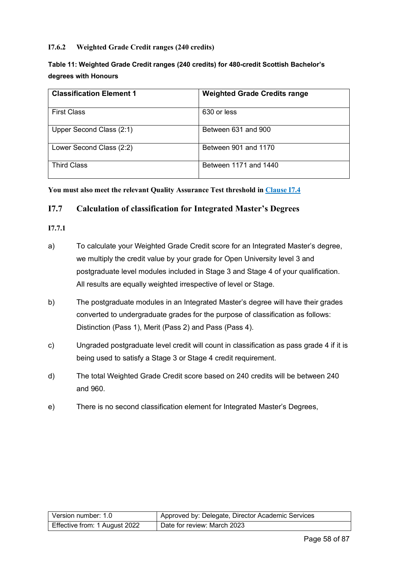#### **I7.6.2 Weighted Grade Credit ranges (240 credits)**

#### **Table 11: Weighted Grade Credit ranges (240 credits) for 480-credit Scottish Bachelor's degrees with Honours**

| <b>Classification Element 1</b> | <b>Weighted Grade Credits range</b> |
|---------------------------------|-------------------------------------|
| <b>First Class</b>              | 630 or less                         |
| Upper Second Class (2:1)        | Between 631 and 900                 |
| Lower Second Class (2:2)        | Between 901 and 1170                |
| <b>Third Class</b>              | Between 1171 and 1440               |

#### **You must also meet the relevant Quality Assurance Test threshold in [Clause I7.4](#page-53-0)**

#### <span id="page-57-0"></span>**I7.7 Calculation of classification for Integrated Master's Degrees**

#### **I7.7.1**

- a) To calculate your Weighted Grade Credit score for an Integrated Master's degree, we multiply the credit value by your grade for Open University level 3 and postgraduate level modules included in Stage 3 and Stage 4 of your qualification. All results are equally weighted irrespective of level or Stage.
- b) The postgraduate modules in an Integrated Master's degree will have their grades converted to undergraduate grades for the purpose of classification as follows: Distinction (Pass 1), Merit (Pass 2) and Pass (Pass 4).
- c) Ungraded postgraduate level credit will count in classification as pass grade 4 if it is being used to satisfy a Stage 3 or Stage 4 credit requirement.
- d) The total Weighted Grade Credit score based on 240 credits will be between 240 and 960.
- e) There is no second classification element for Integrated Master's Degrees,

| Version number: 1.0           | Approved by: Delegate, Director Academic Services |
|-------------------------------|---------------------------------------------------|
| Effective from: 1 August 2022 | Date for review: March 2023                       |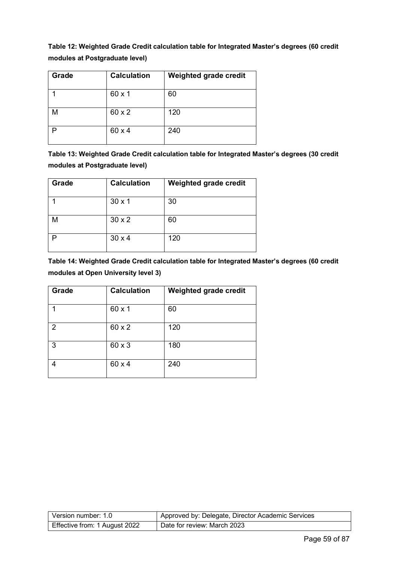**Table 12: Weighted Grade Credit calculation table for Integrated Master's degrees (60 credit modules at Postgraduate level)**

| Grade | <b>Calculation</b> | Weighted grade credit |
|-------|--------------------|-----------------------|
|       | $60 \times 1$      | 60                    |
| M     | 60 x 2             | 120                   |
| D     | 60 x 4             | 240                   |

**Table 13: Weighted Grade Credit calculation table for Integrated Master's degrees (30 credit modules at Postgraduate level)**

| Grade | <b>Calculation</b> | Weighted grade credit |
|-------|--------------------|-----------------------|
|       | $30 \times 1$      | 30                    |
| M     | $30 \times 2$      | 60                    |
|       | $30 \times 4$      | 120                   |

**Table 14: Weighted Grade Credit calculation table for Integrated Master's degrees (60 credit modules at Open University level 3)**

| Grade | <b>Calculation</b> | Weighted grade credit |
|-------|--------------------|-----------------------|
|       | 60 x 1             | 60                    |
| 2     | 60 x 2             | 120                   |
| 3     | 60 x 3             | 180                   |
|       | 60 x 4             | 240                   |

| l Version number: 1.0         | Approved by: Delegate, Director Academic Services |
|-------------------------------|---------------------------------------------------|
| Effective from: 1 August 2022 | Date for review: March 2023                       |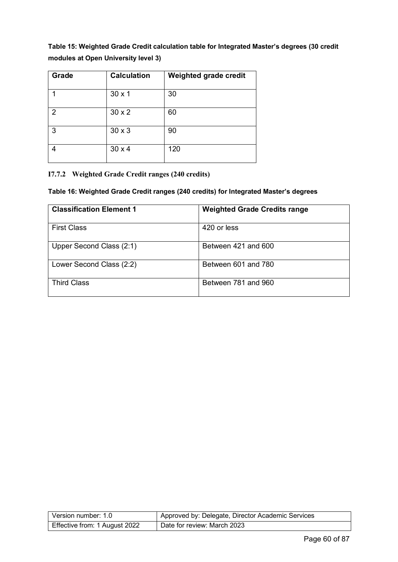**Table 15: Weighted Grade Credit calculation table for Integrated Master's degrees (30 credit modules at Open University level 3)**

| Grade          | <b>Calculation</b> | Weighted grade credit |
|----------------|--------------------|-----------------------|
|                | $30 \times 1$      | 30                    |
| $\overline{2}$ | $30 \times 2$      | 60                    |
| 3              | $30 \times 3$      | 90                    |
|                | $30 \times 4$      | 120                   |

#### **I7.7.2 Weighted Grade Credit ranges (240 credits)**

#### **Table 16: Weighted Grade Credit ranges (240 credits) for Integrated Master's degrees**

| <b>Classification Element 1</b> | <b>Weighted Grade Credits range</b> |
|---------------------------------|-------------------------------------|
| <b>First Class</b>              | 420 or less                         |
| Upper Second Class (2:1)        | Between 421 and 600                 |
| Lower Second Class (2:2)        | Between 601 and 780                 |
| <b>Third Class</b>              | Between 781 and 960                 |

| Version number: 1.0           | Approved by: Delegate, Director Academic Services |
|-------------------------------|---------------------------------------------------|
| Effective from: 1 August 2022 | Date for review: March 2023                       |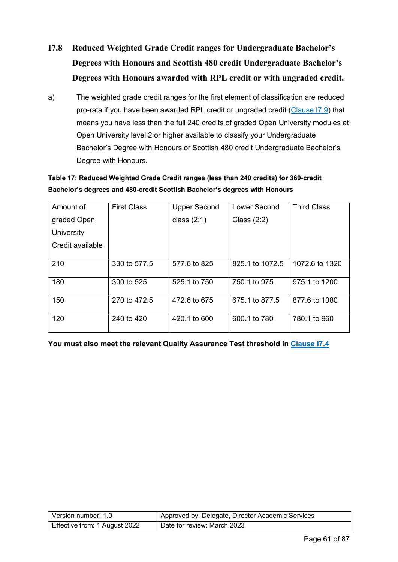- <span id="page-60-0"></span>**I7.8 Reduced Weighted Grade Credit ranges for Undergraduate Bachelor's Degrees with Honours and Scottish 480 credit Undergraduate Bachelor's Degrees with Honours awarded with RPL credit or with ungraded credit.**
- a) The weighted grade credit ranges for the first element of classification are reduced pro-rata if you have been awarded RPL credit or ungraded credit [\(Clause I7.9\)](#page-61-0) that means you have less than the full 240 credits of graded Open University modules at Open University level 2 or higher available to classify your Undergraduate Bachelor's Degree with Honours or Scottish 480 credit Undergraduate Bachelor's Degree with Honours.

#### **Table 17: Reduced Weighted Grade Credit ranges (less than 240 credits) for 360-credit Bachelor's degrees and 480-credit Scottish Bachelor's degrees with Honours**

| Amount of        | <b>First Class</b> | <b>Upper Second</b> | Lower Second    | <b>Third Class</b> |
|------------------|--------------------|---------------------|-----------------|--------------------|
| graded Open      |                    | class $(2:1)$       | Class $(2:2)$   |                    |
| University       |                    |                     |                 |                    |
| Credit available |                    |                     |                 |                    |
| 210              | 330 to 577.5       | 577.6 to 825        | 825.1 to 1072.5 | 1072.6 to 1320     |
|                  |                    |                     |                 |                    |
| 180              | 300 to 525         | 525.1 to 750        | 750.1 to 975    | 975.1 to 1200      |
| 150              | 270 to 472.5       | 472.6 to 675        | 675.1 to 877.5  | 877.6 to 1080      |
| 120              | 240 to 420         | 420.1 to 600        | 600.1 to 780    | 780.1 to 960       |

**You must also meet the relevant Quality Assurance Test threshold in [Clause I7.4](#page-53-0)**

| Version number: 1.0           | Approved by: Delegate, Director Academic Services |
|-------------------------------|---------------------------------------------------|
| Effective from: 1 August 2022 | Date for review: March 2023                       |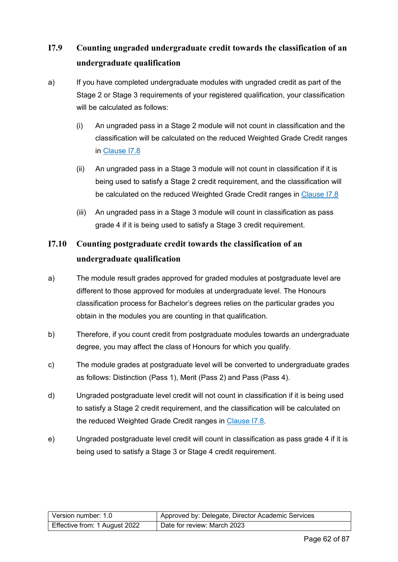## <span id="page-61-0"></span>**I7.9 Counting ungraded undergraduate credit towards the classification of an undergraduate qualification**

- a) If you have completed undergraduate modules with ungraded credit as part of the Stage 2 or Stage 3 requirements of your registered qualification, your classification will be calculated as follows:
	- (i) An ungraded pass in a Stage 2 module will not count in classification and the classification will be calculated on the reduced Weighted Grade Credit ranges in [Clause I7.8](#page-60-0)
	- (ii) An ungraded pass in a Stage 3 module will not count in classification if it is being used to satisfy a Stage 2 credit requirement, and the classification will be calculated on the reduced Weighted Grade Credit ranges in [Clause I7.8](#page-60-0)
	- (iii) An ungraded pass in a Stage 3 module will count in classification as pass grade 4 if it is being used to satisfy a Stage 3 credit requirement.

## **I7.10 Counting postgraduate credit towards the classification of an undergraduate qualification**

- a) The module result grades approved for graded modules at postgraduate level are different to those approved for modules at undergraduate level. The Honours classification process for Bachelor's degrees relies on the particular grades you obtain in the modules you are counting in that qualification.
- b) Therefore, if you count credit from postgraduate modules towards an undergraduate degree, you may affect the class of Honours for which you qualify.
- c) The module grades at postgraduate level will be converted to undergraduate grades as follows: Distinction (Pass 1), Merit (Pass 2) and Pass (Pass 4).
- d) Ungraded postgraduate level credit will not count in classification if it is being used to satisfy a Stage 2 credit requirement, and the classification will be calculated on the reduced Weighted Grade Credit ranges in [Clause I7.8.](#page-60-0)
- e) Ungraded postgraduate level credit will count in classification as pass grade 4 if it is being used to satisfy a Stage 3 or Stage 4 credit requirement.

| l Version number: 1.0         | Approved by: Delegate, Director Academic Services |
|-------------------------------|---------------------------------------------------|
| Effective from: 1 August 2022 | Date for review: March 2023                       |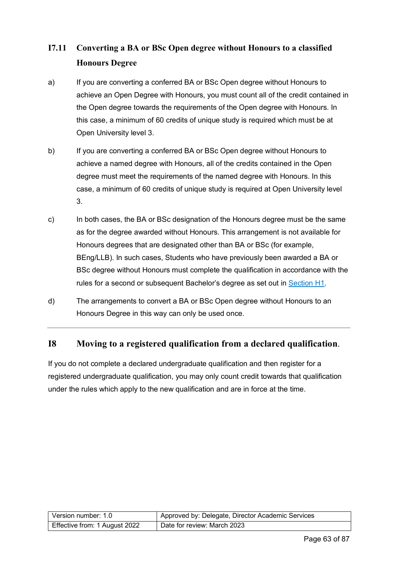## **I7.11 Converting a BA or BSc Open degree without Honours to a classified Honours Degree**

- a) If you are converting a conferred BA or BSc Open degree without Honours to achieve an Open Degree with Honours, you must count all of the credit contained in the Open degree towards the requirements of the Open degree with Honours. In this case, a minimum of 60 credits of unique study is required which must be at Open University level 3.
- b) If you are converting a conferred BA or BSc Open degree without Honours to achieve a named degree with Honours, all of the credits contained in the Open degree must meet the requirements of the named degree with Honours. In this case, a minimum of 60 credits of unique study is required at Open University level 3.
- c) In both cases, the BA or BSc designation of the Honours degree must be the same as for the degree awarded without Honours. This arrangement is not available for Honours degrees that are designated other than BA or BSc (for example, BEng/LLB). In such cases, Students who have previously been awarded a BA or BSc degree without Honours must complete the qualification in accordance with the rules for a second or subsequent Bachelor's degree as set out in [Section H1.](#page-39-0)
- d) The arrangements to convert a BA or BSc Open degree without Honours to an Honours Degree in this way can only be used once.

#### **I8 Moving to a registered qualification from a declared qualification**.

If you do not complete a declared undergraduate qualification and then register for a registered undergraduate qualification, you may only count credit towards that qualification under the rules which apply to the new qualification and are in force at the time.

| Version number: 1.0           | Approved by: Delegate, Director Academic Services |
|-------------------------------|---------------------------------------------------|
| Effective from: 1 August 2022 | Date for review: March 2023                       |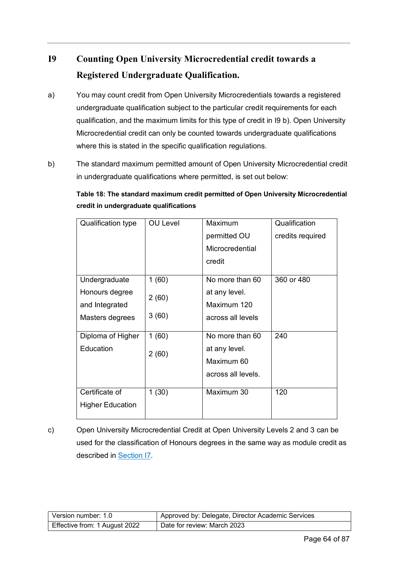## **I9 Counting Open University Microcredential credit towards a Registered Undergraduate Qualification.**

- a) You may count credit from Open University Microcredentials towards a registered undergraduate qualification subject to the particular credit requirements for each qualification, and the maximum limits for this type of credit in I9 b). Open University Microcredential credit can only be counted towards undergraduate qualifications where this is stated in the specific qualification regulations.
- b) The standard maximum permitted amount of Open University Microcredential credit in undergraduate qualifications where permitted, is set out below:

**Table 18: The standard maximum credit permitted of Open University Microcredential credit in undergraduate qualifications**

| <b>Qualification type</b> | <b>OU Level</b> | Maximum            | Qualification    |
|---------------------------|-----------------|--------------------|------------------|
|                           |                 | permitted OU       | credits required |
|                           |                 | Microcredential    |                  |
|                           |                 | credit             |                  |
| Undergraduate             | 1(60)           | No more than 60    | 360 or 480       |
| Honours degree            | 2(60)           | at any level.      |                  |
| and Integrated            |                 | Maximum 120        |                  |
| Masters degrees           | 3(60)           | across all levels  |                  |
| Diploma of Higher         | 1(60)           | No more than 60    | 240              |
| Education                 |                 | at any level.      |                  |
|                           | 2(60)           | Maximum 60         |                  |
|                           |                 | across all levels. |                  |
|                           |                 |                    |                  |
| Certificate of            | 1(30)           | Maximum 30         | 120              |
| <b>Higher Education</b>   |                 |                    |                  |
|                           |                 |                    |                  |

c) Open University Microcredential Credit at Open University Levels 2 and 3 can be used for the classification of Honours degrees in the same way as module credit as described in [Section I7.](#page-50-1)

| Version number: 1.0           | Approved by: Delegate, Director Academic Services |
|-------------------------------|---------------------------------------------------|
| Effective from: 1 August 2022 | Date for review: March 2023                       |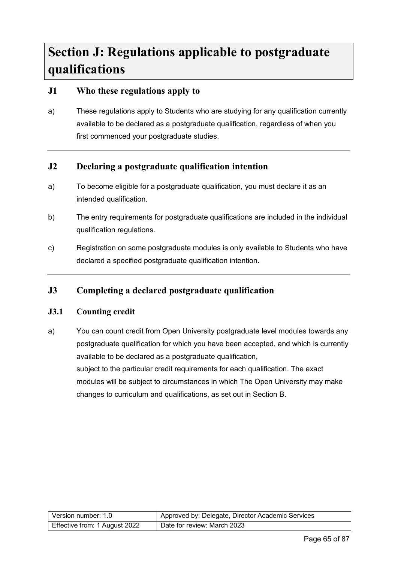# **Section J: Regulations applicable to postgraduate qualifications**

#### **J1 Who these regulations apply to**

a) These regulations apply to Students who are studying for any qualification currently available to be declared as a postgraduate qualification, regardless of when you first commenced your postgraduate studies.

#### **J2 Declaring a postgraduate qualification intention**

- a) To become eligible for a postgraduate qualification, you must declare it as an intended qualification.
- b) The entry requirements for postgraduate qualifications are included in the individual qualification regulations.
- c) Registration on some postgraduate modules is only available to Students who have declared a specified postgraduate qualification intention.

#### **J3 Completing a declared postgraduate qualification**

#### **J3.1 Counting credit**

a) You can count credit from Open University postgraduate level modules towards any postgraduate qualification for which you have been accepted, and which is currently available to be declared as a postgraduate qualification, subject to the particular credit requirements for each qualification. The exact modules will be subject to circumstances in which The Open University may make changes to curriculum and qualifications, as set out in Section B.

| Version number: 1.0           | Approved by: Delegate, Director Academic Services |
|-------------------------------|---------------------------------------------------|
| Effective from: 1 August 2022 | Date for review: March 2023                       |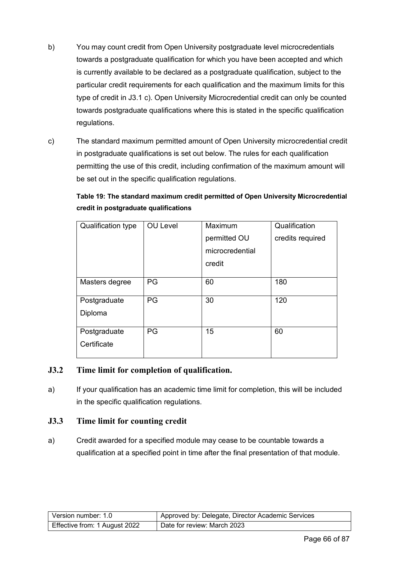- b) You may count credit from Open University postgraduate level microcredentials towards a postgraduate qualification for which you have been accepted and which is currently available to be declared as a postgraduate qualification, subject to the particular credit requirements for each qualification and the maximum limits for this type of credit in J3.1 c). Open University Microcredential credit can only be counted towards postgraduate qualifications where this is stated in the specific qualification regulations.
- c) The standard maximum permitted amount of Open University microcredential credit in postgraduate qualifications is set out below. The rules for each qualification permitting the use of this credit, including confirmation of the maximum amount will be set out in the specific qualification regulations.

**Table 19: The standard maximum credit permitted of Open University Microcredential credit in postgraduate qualifications**

| Qualification type | <b>OU Level</b> | Maximum         | Qualification    |
|--------------------|-----------------|-----------------|------------------|
|                    |                 | permitted OU    | credits required |
|                    |                 | microcredential |                  |
|                    |                 | credit          |                  |
|                    |                 |                 |                  |
| Masters degree     | PG              | 60              | 180              |
|                    |                 |                 |                  |
| Postgraduate       | PG              | 30              | 120              |
| Diploma            |                 |                 |                  |
|                    |                 |                 |                  |
| Postgraduate       | PG              | 15              | 60               |
| Certificate        |                 |                 |                  |
|                    |                 |                 |                  |

#### **J3.2 Time limit for completion of qualification.**

a) If your qualification has an academic time limit for completion, this will be included in the specific qualification regulations.

#### **J3.3 Time limit for counting credit**

a) Credit awarded for a specified module may cease to be countable towards a qualification at a specified point in time after the final presentation of that module.

| Version number: 1.0           | Approved by: Delegate, Director Academic Services |
|-------------------------------|---------------------------------------------------|
| Effective from: 1 August 2022 | Date for review: March 2023                       |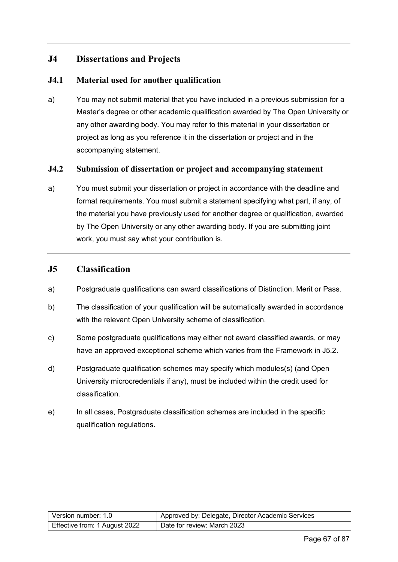#### **J4 Dissertations and Projects**

#### **J4.1 Material used for another qualification**

a) You may not submit material that you have included in a previous submission for a Master's degree or other academic qualification awarded by The Open University or any other awarding body. You may refer to this material in your dissertation or project as long as you reference it in the dissertation or project and in the accompanying statement.

#### **J4.2 Submission of dissertation or project and accompanying statement**

a) You must submit your dissertation or project in accordance with the deadline and format requirements. You must submit a statement specifying what part, if any, of the material you have previously used for another degree or qualification, awarded by The Open University or any other awarding body. If you are submitting joint work, you must say what your contribution is.

#### **J5 Classification**

- a) Postgraduate qualifications can award classifications of Distinction, Merit or Pass.
- b) The classification of your qualification will be automatically awarded in accordance with the relevant Open University scheme of classification.
- c) Some postgraduate qualifications may either not award classified awards, or may have an approved exceptional scheme which varies from the Framework in J5.2.
- d) Postgraduate qualification schemes may specify which modules(s) (and Open University microcredentials if any), must be included within the credit used for classification.
- e) In all cases, Postgraduate classification schemes are included in the specific qualification regulations.

| Version number: 1.0           | Approved by: Delegate, Director Academic Services |
|-------------------------------|---------------------------------------------------|
| Effective from: 1 August 2022 | Date for review: March 2023                       |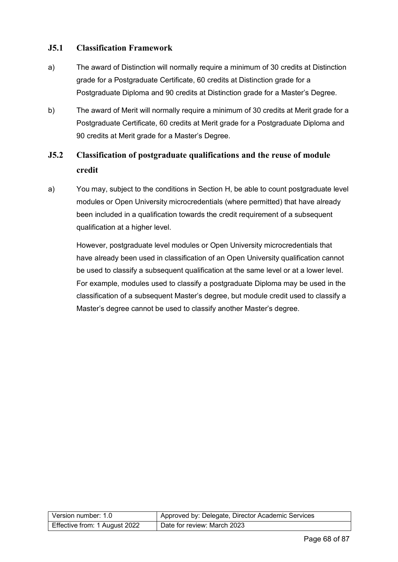#### **J5.1 Classification Framework**

- a) The award of Distinction will normally require a minimum of 30 credits at Distinction grade for a Postgraduate Certificate, 60 credits at Distinction grade for a Postgraduate Diploma and 90 credits at Distinction grade for a Master's Degree.
- b) The award of Merit will normally require a minimum of 30 credits at Merit grade for a Postgraduate Certificate, 60 credits at Merit grade for a Postgraduate Diploma and 90 credits at Merit grade for a Master's Degree.

## <span id="page-67-0"></span>**J5.2 Classification of postgraduate qualifications and the reuse of module credit**

a) You may, subject to the conditions in Section H, be able to count postgraduate level modules or Open University microcredentials (where permitted) that have already been included in a qualification towards the credit requirement of a subsequent qualification at a higher level.

However, postgraduate level modules or Open University microcredentials that have already been used in classification of an Open University qualification cannot be used to classify a subsequent qualification at the same level or at a lower level. For example, modules used to classify a postgraduate Diploma may be used in the classification of a subsequent Master's degree, but module credit used to classify a Master's degree cannot be used to classify another Master's degree.

| Version number: 1.0           | Approved by: Delegate, Director Academic Services |
|-------------------------------|---------------------------------------------------|
| Effective from: 1 August 2022 | Date for review: March 2023                       |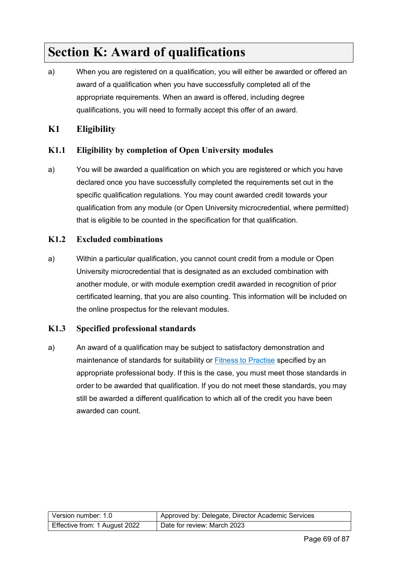# **Section K: Award of qualifications**

a) When you are registered on a qualification, you will either be awarded or offered an award of a qualification when you have successfully completed all of the appropriate requirements. When an award is offered, including degree qualifications, you will need to formally accept this offer of an award.

#### **K1 Eligibility**

#### **K1.1 Eligibility by completion of Open University modules**

a) You will be awarded a qualification on which you are registered or which you have declared once you have successfully completed the requirements set out in the specific qualification regulations. You may count awarded credit towards your qualification from any module (or Open University microcredential, where permitted) that is eligible to be counted in the specification for that qualification.

#### **K1.2 Excluded combinations**

a) Within a particular qualification, you cannot count credit from a module or Open University microcredential that is designated as an excluded combination with another module, or with module exemption credit awarded in recognition of prior certificated learning, that you are also counting. This information will be included on the online prospectus for the relevant modules.

#### **K1.3 Specified professional standards**

a) An award of a qualification may be subject to satisfactory demonstration and maintenance of standards for suitability or [Fitness to Practise](https://help.open.ac.uk/documents/policies/fitness-to-practise) specified by an appropriate professional body. If this is the case, you must meet those standards in order to be awarded that qualification. If you do not meet these standards, you may still be awarded a different qualification to which all of the credit you have been awarded can count.

| Version number: 1.0           | Approved by: Delegate, Director Academic Services |
|-------------------------------|---------------------------------------------------|
| Effective from: 1 August 2022 | Date for review: March 2023                       |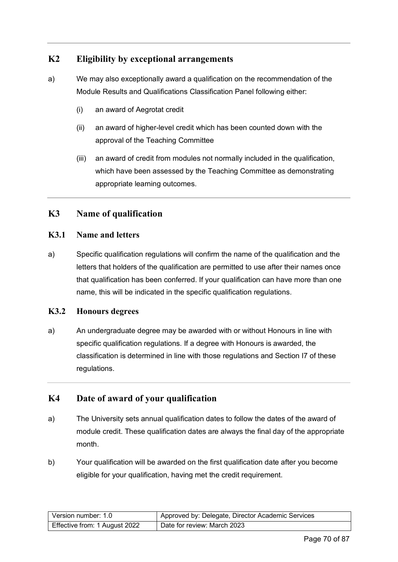#### **K2 Eligibility by exceptional arrangements**

- a) We may also exceptionally award a qualification on the recommendation of the Module Results and Qualifications Classification Panel following either:
	- (i) an award of Aegrotat credit
	- (ii) an award of higher-level credit which has been counted down with the approval of the Teaching Committee
	- (iii) an award of credit from modules not normally included in the qualification, which have been assessed by the Teaching Committee as demonstrating appropriate learning outcomes.

#### **K3 Name of qualification**

#### **K3.1 Name and letters**

a) Specific qualification regulations will confirm the name of the qualification and the letters that holders of the qualification are permitted to use after their names once that qualification has been conferred. If your qualification can have more than one name, this will be indicated in the specific qualification regulations.

#### **K3.2 Honours degrees**

a) An undergraduate degree may be awarded with or without Honours in line with specific qualification regulations. If a degree with Honours is awarded, the classification is determined in line with those regulations and Section I7 of these regulations.

#### **K4 Date of award of your qualification**

- a) The University sets annual qualification dates to follow the dates of the award of module credit. These qualification dates are always the final day of the appropriate month.
- b) Your qualification will be awarded on the first qualification date after you become eligible for your qualification, having met the credit requirement.

| Version number: 1.0           | Approved by: Delegate, Director Academic Services |
|-------------------------------|---------------------------------------------------|
| Effective from: 1 August 2022 | Date for review: March 2023                       |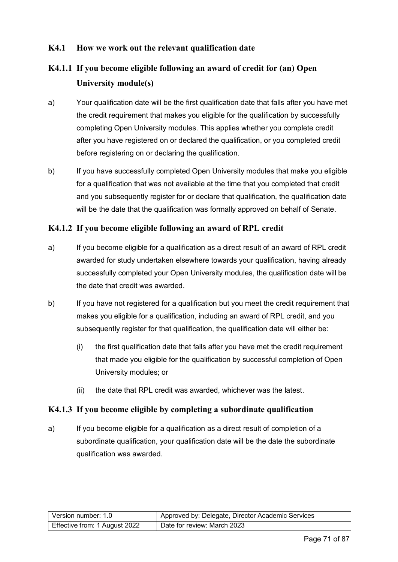#### **K4.1 How we work out the relevant qualification date**

## **K4.1.1 If you become eligible following an award of credit for (an) Open University module(s)**

- a) Your qualification date will be the first qualification date that falls after you have met the credit requirement that makes you eligible for the qualification by successfully completing Open University modules. This applies whether you complete credit after you have registered on or declared the qualification, or you completed credit before registering on or declaring the qualification.
- b) If you have successfully completed Open University modules that make you eligible for a qualification that was not available at the time that you completed that credit and you subsequently register for or declare that qualification, the qualification date will be the date that the qualification was formally approved on behalf of Senate.

#### **K4.1.2 If you become eligible following an award of RPL credit**

- a) If you become eligible for a qualification as a direct result of an award of RPL credit awarded for study undertaken elsewhere towards your qualification, having already successfully completed your Open University modules, the qualification date will be the date that credit was awarded.
- b) If you have not registered for a qualification but you meet the credit requirement that makes you eligible for a qualification, including an award of RPL credit, and you subsequently register for that qualification, the qualification date will either be:
	- (i) the first qualification date that falls after you have met the credit requirement that made you eligible for the qualification by successful completion of Open University modules; or
	- (ii) the date that RPL credit was awarded, whichever was the latest.

#### **K4.1.3 If you become eligible by completing a subordinate qualification**

a) If you become eligible for a qualification as a direct result of completion of a subordinate qualification, your qualification date will be the date the subordinate qualification was awarded.

| Version number: 1.0           | Approved by: Delegate, Director Academic Services |
|-------------------------------|---------------------------------------------------|
| Effective from: 1 August 2022 | Date for review: March 2023                       |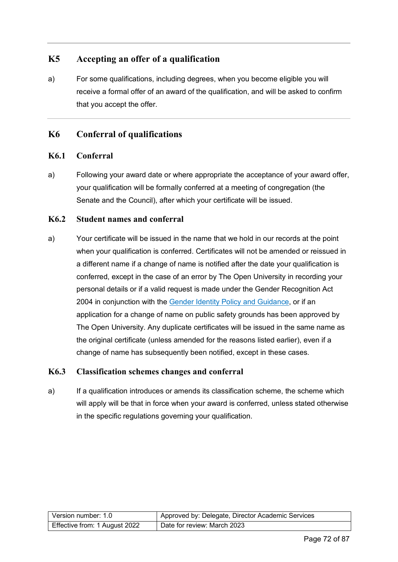#### **K5 Accepting an offer of a qualification**

a) For some qualifications, including degrees, when you become eligible you will receive a formal offer of an award of the qualification, and will be asked to confirm that you accept the offer.

#### **K6 Conferral of qualifications**

#### **K6.1 Conferral**

a) Following your award date or where appropriate the acceptance of your award offer, your qualification will be formally conferred at a meeting of congregation (the Senate and the Council), after which your certificate will be issued.

#### **K6.2 Student names and conferral**

a) Your certificate will be issued in the name that we hold in our records at the point when your qualification is conferred. Certificates will not be amended or reissued in a different name if a change of name is notified after the date your qualification is conferred, except in the case of an error by The Open University in recording your personal details or if a valid request is made under the Gender Recognition Act 2004 in conjunction with the [Gender Identity Policy and Guidance,](https://help.open.ac.uk/documents/policies/gender-identity) or if an application for a change of name on public safety grounds has been approved by The Open University. Any duplicate certificates will be issued in the same name as the original certificate (unless amended for the reasons listed earlier), even if a change of name has subsequently been notified, except in these cases.

#### **K6.3 Classification schemes changes and conferral**

a) If a qualification introduces or amends its classification scheme, the scheme which will apply will be that in force when your award is conferred, unless stated otherwise in the specific regulations governing your qualification.

| Version number: 1.0           | Approved by: Delegate, Director Academic Services |
|-------------------------------|---------------------------------------------------|
| Effective from: 1 August 2022 | Date for review: March 2023                       |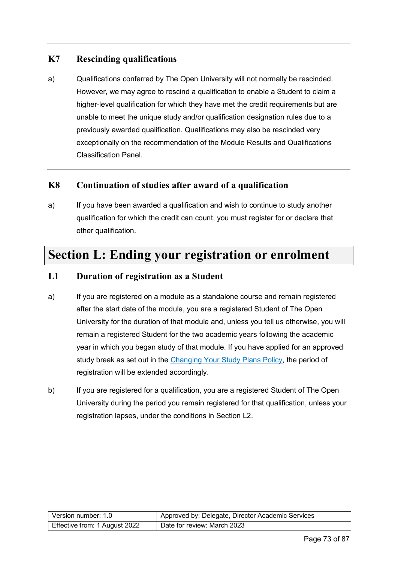# **K7 Rescinding qualifications**

a) Qualifications conferred by The Open University will not normally be rescinded. However, we may agree to rescind a qualification to enable a Student to claim a higher-level qualification for which they have met the credit requirements but are unable to meet the unique study and/or qualification designation rules due to a previously awarded qualification. Qualifications may also be rescinded very exceptionally on the recommendation of the Module Results and Qualifications Classification Panel.

## **K8 Continuation of studies after award of a qualification**

a) If you have been awarded a qualification and wish to continue to study another qualification for which the credit can count, you must register for or declare that other qualification.

# **Section L: Ending your registration or enrolment**

#### **L1 Duration of registration as a Student**

- a) If you are registered on a module as a standalone course and remain registered after the start date of the module, you are a registered Student of The Open University for the duration of that module and, unless you tell us otherwise, you will remain a registered Student for the two academic years following the academic year in which you began study of that module. If you have applied for an approved study break as set out in the [Changing Your Study Plans Policy,](https://help.open.ac.uk/documents/policies/changing-your-study-plans) the period of registration will be extended accordingly.
- b) If you are registered for a qualification, you are a registered Student of The Open University during the period you remain registered for that qualification, unless your registration lapses, under the conditions in Section L2.

| l Version number: 1.0_        | Approved by: Delegate, Director Academic Services |
|-------------------------------|---------------------------------------------------|
| Effective from: 1 August 2022 | Date for review: March 2023                       |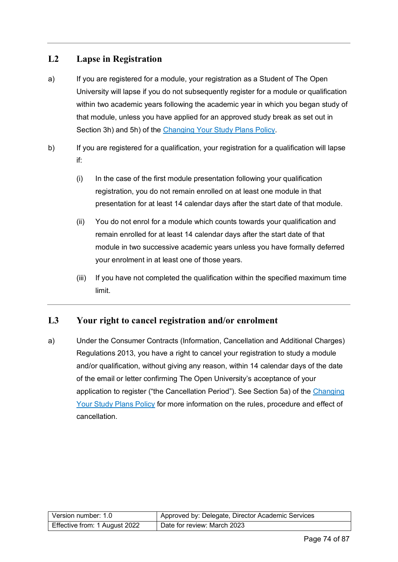# **L2 Lapse in Registration**

- a) If you are registered for a module, your registration as a Student of The Open University will lapse if you do not subsequently register for a module or qualification within two academic years following the academic year in which you began study of that module, unless you have applied for an approved study break as set out in Section 3h) and 5h) of the [Changing Your Study Plans Policy.](https://help.open.ac.uk/documents/policies/changing-your-study-plans)
- b) If you are registered for a qualification, your registration for a qualification will lapse if:
	- (i) In the case of the first module presentation following your qualification registration, you do not remain enrolled on at least one module in that presentation for at least 14 calendar days after the start date of that module.
	- (ii) You do not enrol for a module which counts towards your qualification and remain enrolled for at least 14 calendar days after the start date of that module in two successive academic years unless you have formally deferred your enrolment in at least one of those years.
	- (iii) If you have not completed the qualification within the specified maximum time limit.

# **L3 Your right to cancel registration and/or enrolment**

a) Under the Consumer Contracts (Information, Cancellation and Additional Charges) Regulations 2013, you have a right to cancel your registration to study a module and/or qualification, without giving any reason, within 14 calendar days of the date of the email or letter confirming The Open University's acceptance of your application to register ("the Cancellation Period"). See Section 5a) of the [Changing](https://help.open.ac.uk/documents/policies/changing-your-study-plans)  [Your Study Plans Policy](https://help.open.ac.uk/documents/policies/changing-your-study-plans) for more information on the rules, procedure and effect of cancellation.

| Version number: 1.0           | Approved by: Delegate, Director Academic Services |
|-------------------------------|---------------------------------------------------|
| Effective from: 1 August 2022 | Date for review: March 2023                       |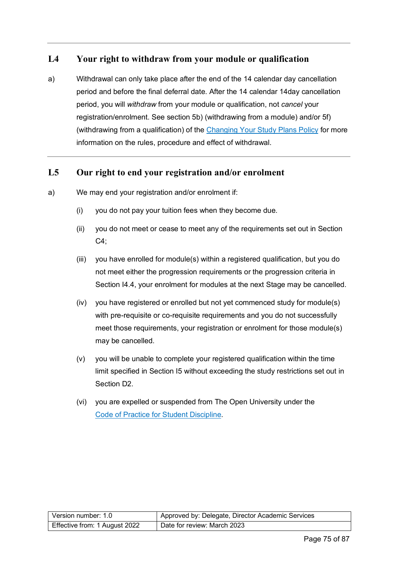## **L4 Your right to withdraw from your module or qualification**

a) Withdrawal can only take place after the end of the 14 calendar day cancellation period and before the final deferral date. After the 14 calendar 14day cancellation period, you will *withdraw* from your module or qualification, not *cancel* your registration/enrolment. See section 5b) (withdrawing from a module) and/or 5f) (withdrawing from a qualification) of the [Changing Your Study Plans Policy](https://help.open.ac.uk/documents/policies/changing-your-study-plans) for more information on the rules, procedure and effect of withdrawal.

#### **L5 Our right to end your registration and/or enrolment**

- a) We may end your registration and/or enrolment if:
	- (i) you do not pay your tuition fees when they become due.
	- (ii) you do not meet or cease to meet any of the requirements set out in Section C4;
	- (iii) you have enrolled for module(s) within a registered qualification, but you do not meet either the progression requirements or the progression criteria in Section I4.4, your enrolment for modules at the next Stage may be cancelled.
	- (iv) you have registered or enrolled but not yet commenced study for module(s) with pre-requisite or co-requisite requirements and you do not successfully meet those requirements, your registration or enrolment for those module(s) may be cancelled.
	- (v) you will be unable to complete your registered qualification within the time limit specified in Section I5 without exceeding the study restrictions set out in Section D2.
	- (vi) you are expelled or suspended from The Open University under the [Code of Practice for Student Discipline.](https://help.open.ac.uk/documents/policies/code-of-practice-student-discipline)

| Version number: 1.0           | Approved by: Delegate, Director Academic Services |
|-------------------------------|---------------------------------------------------|
| Effective from: 1 August 2022 | Date for review: March 2023                       |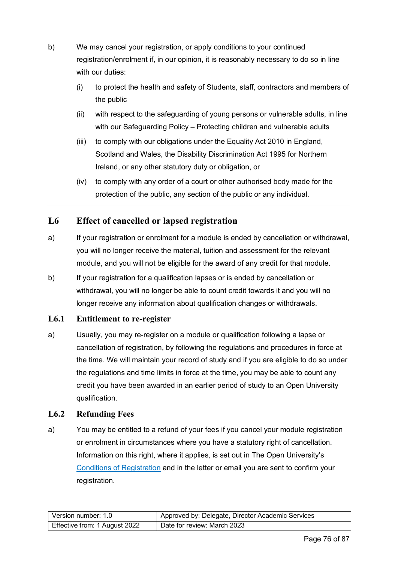- b) We may cancel your registration, or apply conditions to your continued registration/enrolment if, in our opinion, it is reasonably necessary to do so in line with our duties:
	- (i) to protect the health and safety of Students, staff, contractors and members of the public
	- (ii) with respect to the safeguarding of young persons or vulnerable adults, in line with our Safeguarding Policy – Protecting children and vulnerable adults
	- (iii) to comply with our obligations under the Equality Act 2010 in England, Scotland and Wales, the Disability Discrimination Act 1995 for Northern Ireland, or any other statutory duty or obligation, or
	- (iv) to comply with any order of a court or other authorised body made for the protection of the public, any section of the public or any individual.

# **L6 Effect of cancelled or lapsed registration**

- a) If your registration or enrolment for a module is ended by cancellation or withdrawal, you will no longer receive the material, tuition and assessment for the relevant module, and you will not be eligible for the award of any credit for that module.
- b) If your registration for a qualification lapses or is ended by cancellation or withdrawal, you will no longer be able to count credit towards it and you will no longer receive any information about qualification changes or withdrawals.

#### **L6.1 Entitlement to re-register**

a) Usually, you may re-register on a module or qualification following a lapse or cancellation of registration, by following the regulations and procedures in force at the time. We will maintain your record of study and if you are eligible to do so under the regulations and time limits in force at the time, you may be able to count any credit you have been awarded in an earlier period of study to an Open University qualification.

# **L6.2 Refunding Fees**

a) You may be entitled to a refund of your fees if you cancel your module registration or enrolment in circumstances where you have a statutory right of cancellation. Information on this right, where it applies, is set out in The Open University's [Conditions of Registration](https://help.open.ac.uk/documents/policies/conditions-of-registration) and in the letter or email you are sent to confirm your registration.

| Version number: 1.0           | Approved by: Delegate, Director Academic Services |
|-------------------------------|---------------------------------------------------|
| Effective from: 1 August 2022 | Date for review: March 2023                       |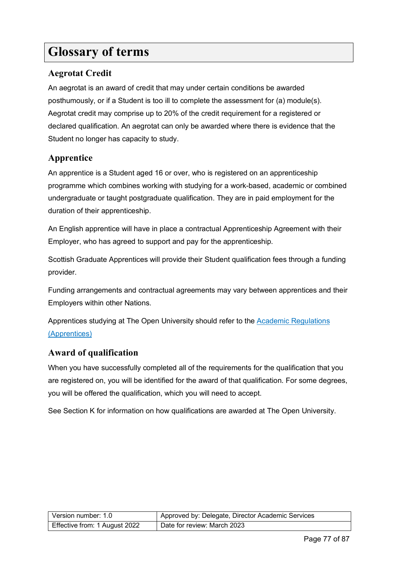# **Glossary of terms**

# **Aegrotat Credit**

An aegrotat is an award of credit that may under certain conditions be awarded posthumously, or if a Student is too ill to complete the assessment for (a) module(s). Aegrotat credit may comprise up to 20% of the credit requirement for a registered or declared qualification. An aegrotat can only be awarded where there is evidence that the Student no longer has capacity to study.

# **Apprentice**

An apprentice is a Student aged 16 or over, who is registered on an apprenticeship programme which combines working with studying for a work-based, academic or combined undergraduate or taught postgraduate qualification. They are in paid employment for the duration of their apprenticeship.

An English apprentice will have in place a contractual Apprenticeship Agreement with their Employer, who has agreed to support and pay for the apprenticeship.

Scottish Graduate Apprentices will provide their Student qualification fees through a funding provider.

Funding arrangements and contractual agreements may vary between apprentices and their Employers within other Nations.

Apprentices studying at The Open University should refer to the [Academic Regulations](https://help.open.ac.uk/documents/policies/academic-regulations)  [\(Apprentices\)](https://help.open.ac.uk/documents/policies/academic-regulations)

#### **Award of qualification**

When you have successfully completed all of the requirements for the qualification that you are registered on, you will be identified for the award of that qualification. For some degrees, you will be offered the qualification, which you will need to accept.

See Section K for information on how qualifications are awarded at The Open University.

| Version number: 1.0           | Approved by: Delegate, Director Academic Services |
|-------------------------------|---------------------------------------------------|
| Effective from: 1 August 2022 | Date for review: March 2023                       |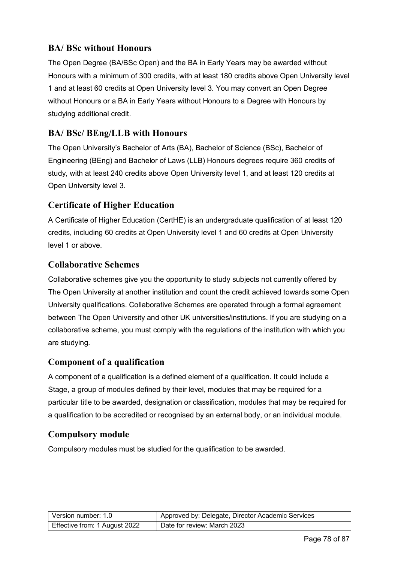# **BA/ BSc without Honours**

The Open Degree (BA/BSc Open) and the BA in Early Years may be awarded without Honours with a minimum of 300 credits, with at least 180 credits above Open University level 1 and at least 60 credits at Open University level 3. You may convert an Open Degree without Honours or a BA in Early Years without Honours to a Degree with Honours by studying additional credit.

# **BA/ BSc/ BEng/LLB with Honours**

The Open University's Bachelor of Arts (BA), Bachelor of Science (BSc), Bachelor of Engineering (BEng) and Bachelor of Laws (LLB) Honours degrees require 360 credits of study, with at least 240 credits above Open University level 1, and at least 120 credits at Open University level 3.

# **Certificate of Higher Education**

A Certificate of Higher Education (CertHE) is an undergraduate qualification of at least 120 credits, including 60 credits at Open University level 1 and 60 credits at Open University level 1 or above.

# **Collaborative Schemes**

Collaborative schemes give you the opportunity to study subjects not currently offered by The Open University at another institution and count the credit achieved towards some Open University qualifications. Collaborative Schemes are operated through a formal agreement between The Open University and other UK universities/institutions. If you are studying on a collaborative scheme, you must comply with the regulations of the institution with which you are studying.

# **Component of a qualification**

A component of a qualification is a defined element of a qualification. It could include a Stage, a group of modules defined by their level, modules that may be required for a particular title to be awarded, designation or classification, modules that may be required for a qualification to be accredited or recognised by an external body, or an individual module.

# **Compulsory module**

Compulsory modules must be studied for the qualification to be awarded.

| Version number: 1.0           | Approved by: Delegate, Director Academic Services |
|-------------------------------|---------------------------------------------------|
| Effective from: 1 August 2022 | Date for review: March 2023                       |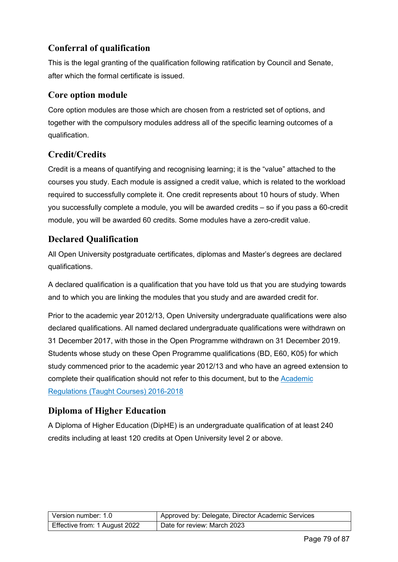# **Conferral of qualification**

This is the legal granting of the qualification following ratification by Council and Senate, after which the formal certificate is issued.

## **Core option module**

Core option modules are those which are chosen from a restricted set of options, and together with the compulsory modules address all of the specific learning outcomes of a qualification.

# **Credit/Credits**

Credit is a means of quantifying and recognising learning; it is the "value" attached to the courses you study. Each module is assigned a credit value, which is related to the workload required to successfully complete it. One credit represents about 10 hours of study. When you successfully complete a module, you will be awarded credits – so if you pass a 60-credit module, you will be awarded 60 credits. Some modules have a zero-credit value.

# **Declared Qualification**

All Open University postgraduate certificates, diplomas and Master's degrees are declared qualifications.

A declared qualification is a qualification that you have told us that you are studying towards and to which you are linking the modules that you study and are awarded credit for.

Prior to the academic year 2012/13, Open University undergraduate qualifications were also declared qualifications. All named declared undergraduate qualifications were withdrawn on 31 December 2017, with those in the Open Programme withdrawn on 31 December 2019. Students whose study on these Open Programme qualifications (BD, E60, K05) for which study commenced prior to the academic year 2012/13 and who have an agreed extension to complete their qualification should not refer to this document, but to the [Academic](https://help.open.ac.uk/documents/policies/academic-regulations/files/63/academic-regulations-taught-courses-2016.pdf)  [Regulations \(Taught Courses\) 2016-2018](https://help.open.ac.uk/documents/policies/academic-regulations/files/63/academic-regulations-taught-courses-2016.pdf)

# **Diploma of Higher Education**

A Diploma of Higher Education (DipHE) is an undergraduate qualification of at least 240 credits including at least 120 credits at Open University level 2 or above.

| Version number: 1.0           | Approved by: Delegate, Director Academic Services |
|-------------------------------|---------------------------------------------------|
| Effective from: 1 August 2022 | Date for review: March 2023                       |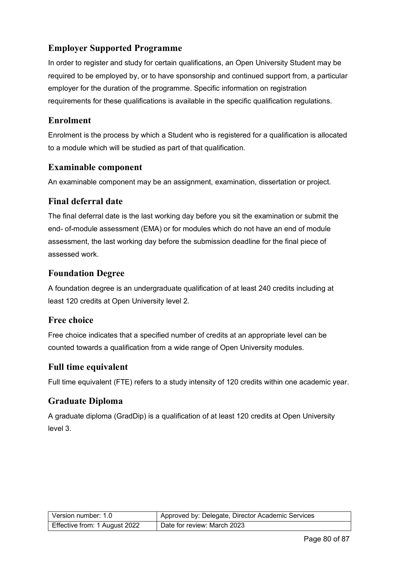# **Employer Supported Programme**

In order to register and study for certain qualifications, an Open University Student may be required to be employed by, or to have sponsorship and continued support from, a particular employer for the duration of the programme. Specific information on registration requirements for these qualifications is available in the specific qualification regulations.

# **Enrolment**

Enrolment is the process by which a Student who is registered for a qualification is allocated to a module which will be studied as part of that qualification.

## **Examinable component**

An examinable component may be an assignment, examination, dissertation or project.

## **Final deferral date**

The final deferral date is the last working day before you sit the examination or submit the end- of-module assessment (EMA) or for modules which do not have an end of module assessment, the last working day before the submission deadline for the final piece of assessed work.

## **Foundation Degree**

A foundation degree is an undergraduate qualification of at least 240 credits including at least 120 credits at Open University level 2.

# **Free choice**

Free choice indicates that a specified number of credits at an appropriate level can be counted towards a qualification from a wide range of Open University modules.

#### **Full time equivalent**

Full time equivalent (FTE) refers to a study intensity of 120 credits within one academic year.

# **Graduate Diploma**

A graduate diploma (GradDip) is a qualification of at least 120 credits at Open University level 3.

| Version number: 1.0           | Approved by: Delegate, Director Academic Services |
|-------------------------------|---------------------------------------------------|
| Effective from: 1 August 2022 | Date for review: March 2023                       |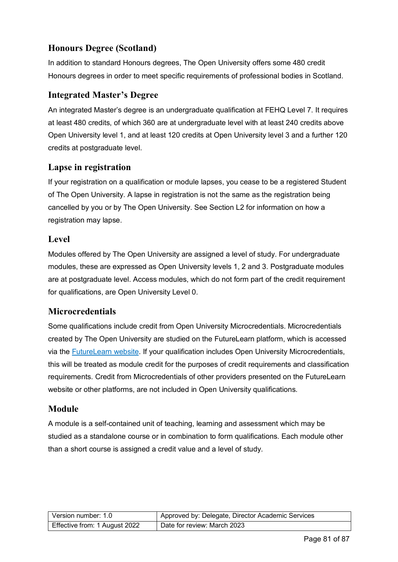# **Honours Degree (Scotland)**

In addition to standard Honours degrees, The Open University offers some 480 credit Honours degrees in order to meet specific requirements of professional bodies in Scotland.

## **Integrated Master's Degree**

An integrated Master's degree is an undergraduate qualification at FEHQ Level 7. It requires at least 480 credits, of which 360 are at undergraduate level with at least 240 credits above Open University level 1, and at least 120 credits at Open University level 3 and a further 120 credits at postgraduate level.

## **Lapse in registration**

If your registration on a qualification or module lapses, you cease to be a registered Student of The Open University. A lapse in registration is not the same as the registration being cancelled by you or by The Open University. See Section L2 for information on how a registration may lapse.

# **Level**

Modules offered by The Open University are assigned a level of study. For undergraduate modules, these are expressed as Open University levels 1, 2 and 3. Postgraduate modules are at postgraduate level. Access modules, which do not form part of the credit requirement for qualifications, are Open University Level 0.

# **Microcredentials**

Some qualifications include credit from Open University Microcredentials. Microcredentials created by The Open University are studied on the FutureLearn platform, which is accessed via the [FutureLearn website.](https://www.futurelearn.com/) If your qualification includes Open University Microcredentials, this will be treated as module credit for the purposes of credit requirements and classification requirements. Credit from Microcredentials of other providers presented on the FutureLearn website or other platforms, are not included in Open University qualifications.

#### **Module**

A module is a self-contained unit of teaching, learning and assessment which may be studied as a standalone course or in combination to form qualifications. Each module other than a short course is assigned a credit value and a level of study.

| Version number: 1.0           | Approved by: Delegate, Director Academic Services |
|-------------------------------|---------------------------------------------------|
| Effective from: 1 August 2022 | Date for review: March 2023                       |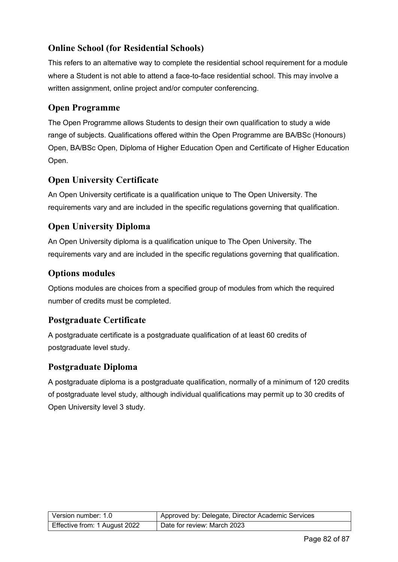# **Online School (for Residential Schools)**

This refers to an alternative way to complete the residential school requirement for a module where a Student is not able to attend a face-to-face residential school. This may involve a written assignment, online project and/or computer conferencing.

# **Open Programme**

The Open Programme allows Students to design their own qualification to study a wide range of subjects. Qualifications offered within the Open Programme are BA/BSc (Honours) Open, BA/BSc Open, Diploma of Higher Education Open and Certificate of Higher Education Open.

# **Open University Certificate**

An Open University certificate is a qualification unique to The Open University. The requirements vary and are included in the specific regulations governing that qualification.

# **Open University Diploma**

An Open University diploma is a qualification unique to The Open University. The requirements vary and are included in the specific regulations governing that qualification.

# **Options modules**

Options modules are choices from a specified group of modules from which the required number of credits must be completed.

# **Postgraduate Certificate**

A postgraduate certificate is a postgraduate qualification of at least 60 credits of postgraduate level study.

# **Postgraduate Diploma**

A postgraduate diploma is a postgraduate qualification, normally of a minimum of 120 credits of postgraduate level study, although individual qualifications may permit up to 30 credits of Open University level 3 study.

| Version number: 1.0           | Approved by: Delegate, Director Academic Services |
|-------------------------------|---------------------------------------------------|
| Effective from: 1 August 2022 | Date for review: March 2023                       |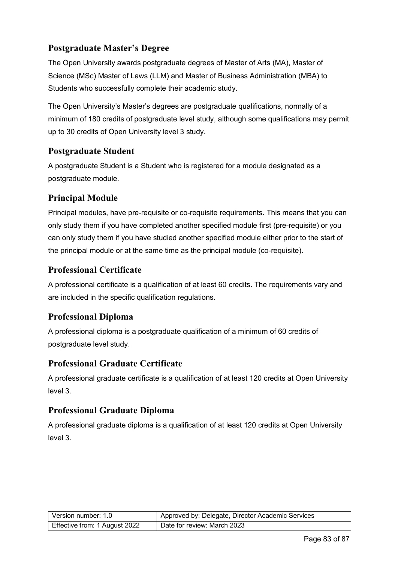# **Postgraduate Master's Degree**

The Open University awards postgraduate degrees of Master of Arts (MA), Master of Science (MSc) Master of Laws (LLM) and Master of Business Administration (MBA) to Students who successfully complete their academic study.

The Open University's Master's degrees are postgraduate qualifications, normally of a minimum of 180 credits of postgraduate level study, although some qualifications may permit up to 30 credits of Open University level 3 study.

# **Postgraduate Student**

A postgraduate Student is a Student who is registered for a module designated as a postgraduate module.

# **Principal Module**

Principal modules, have pre-requisite or co-requisite requirements. This means that you can only study them if you have completed another specified module first (pre-requisite) or you can only study them if you have studied another specified module either prior to the start of the principal module or at the same time as the principal module (co-requisite).

## **Professional Certificate**

A professional certificate is a qualification of at least 60 credits. The requirements vary and are included in the specific qualification regulations.

#### **Professional Diploma**

A professional diploma is a postgraduate qualification of a minimum of 60 credits of postgraduate level study.

#### **Professional Graduate Certificate**

A professional graduate certificate is a qualification of at least 120 credits at Open University level 3.

#### **Professional Graduate Diploma**

A professional graduate diploma is a qualification of at least 120 credits at Open University level 3.

| Version number: 1.0           | Approved by: Delegate, Director Academic Services |
|-------------------------------|---------------------------------------------------|
| Effective from: 1 August 2022 | Date for review: March 2023                       |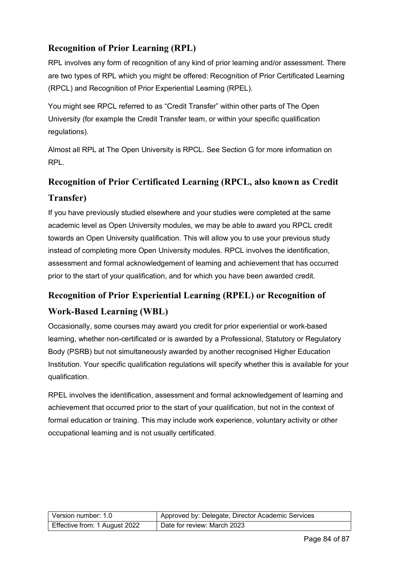# **Recognition of Prior Learning (RPL)**

RPL involves any form of recognition of any kind of prior learning and/or assessment. There are two types of RPL which you might be offered: Recognition of Prior Certificated Learning (RPCL) and Recognition of Prior Experiential Learning (RPEL).

You might see RPCL referred to as "Credit Transfer" within other parts of The Open University (for example the Credit Transfer team, or within your specific qualification regulations).

Almost all RPL at The Open University is RPCL. See Section G for more information on RPL.

# **Recognition of Prior Certificated Learning (RPCL, also known as Credit**

## **Transfer)**

If you have previously studied elsewhere and your studies were completed at the same academic level as Open University modules, we may be able to award you RPCL credit towards an Open University qualification. This will allow you to use your previous study instead of completing more Open University modules. RPCL involves the identification, assessment and formal acknowledgement of learning and achievement that has occurred prior to the start of your qualification, and for which you have been awarded credit.

# **Recognition of Prior Experiential Learning (RPEL) or Recognition of Work-Based Learning (WBL)**

Occasionally, some courses may award you credit for prior experiential or work-based learning, whether non-certificated or is awarded by a Professional, Statutory or Regulatory Body (PSRB) but not simultaneously awarded by another recognised Higher Education Institution. Your specific qualification regulations will specify whether this is available for your qualification.

RPEL involves the identification, assessment and formal acknowledgement of learning and achievement that occurred prior to the start of your qualification, but not in the context of formal education or training. This may include work experience, voluntary activity or other occupational learning and is not usually certificated.

| Version number: 1.0           | Approved by: Delegate, Director Academic Services |
|-------------------------------|---------------------------------------------------|
| Effective from: 1 August 2022 | Date for review: March 2023                       |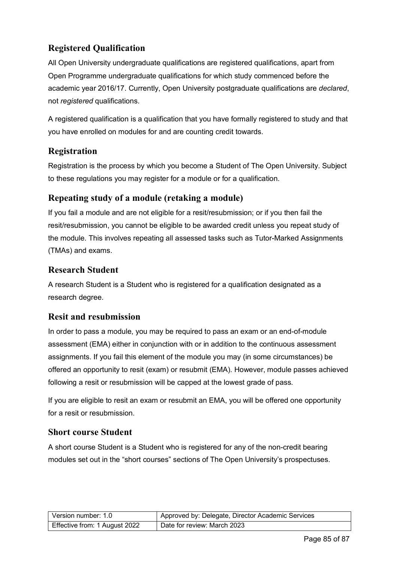# **Registered Qualification**

All Open University undergraduate qualifications are registered qualifications, apart from Open Programme undergraduate qualifications for which study commenced before the academic year 2016/17. Currently, Open University postgraduate qualifications are *declared*, not *registered* qualifications.

A registered qualification is a qualification that you have formally registered to study and that you have enrolled on modules for and are counting credit towards.

# **Registration**

Registration is the process by which you become a Student of The Open University. Subject to these regulations you may register for a module or for a qualification.

# **Repeating study of a module (retaking a module)**

If you fail a module and are not eligible for a resit/resubmission; or if you then fail the resit/resubmission, you cannot be eligible to be awarded credit unless you repeat study of the module. This involves repeating all assessed tasks such as Tutor-Marked Assignments (TMAs) and exams.

# **Research Student**

A research Student is a Student who is registered for a qualification designated as a research degree.

# **Resit and resubmission**

In order to pass a module, you may be required to pass an exam or an end-of-module assessment (EMA) either in conjunction with or in addition to the continuous assessment assignments. If you fail this element of the module you may (in some circumstances) be offered an opportunity to resit (exam) or resubmit (EMA). However, module passes achieved following a resit or resubmission will be capped at the lowest grade of pass.

If you are eligible to resit an exam or resubmit an EMA, you will be offered one opportunity for a resit or resubmission.

# **Short course Student**

A short course Student is a Student who is registered for any of the non-credit bearing modules set out in the "short courses" sections of The Open University's prospectuses.

| Version number: 1.0           | Approved by: Delegate, Director Academic Services |
|-------------------------------|---------------------------------------------------|
| Effective from: 1 August 2022 | Date for review: March 2023                       |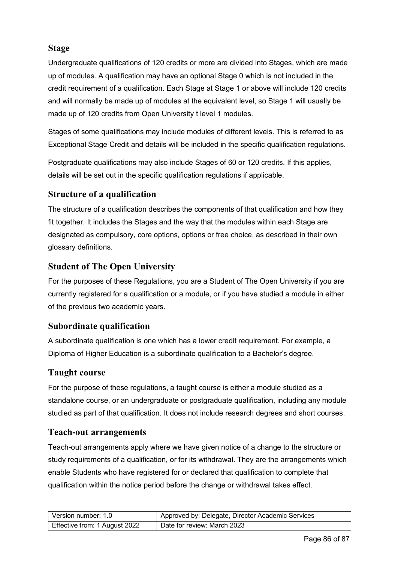# **Stage**

Undergraduate qualifications of 120 credits or more are divided into Stages, which are made up of modules. A qualification may have an optional Stage 0 which is not included in the credit requirement of a qualification. Each Stage at Stage 1 or above will include 120 credits and will normally be made up of modules at the equivalent level, so Stage 1 will usually be made up of 120 credits from Open University t level 1 modules.

Stages of some qualifications may include modules of different levels. This is referred to as Exceptional Stage Credit and details will be included in the specific qualification regulations.

Postgraduate qualifications may also include Stages of 60 or 120 credits. If this applies, details will be set out in the specific qualification regulations if applicable.

# **Structure of a qualification**

The structure of a qualification describes the components of that qualification and how they fit together. It includes the Stages and the way that the modules within each Stage are designated as compulsory, core options, options or free choice, as described in their own glossary definitions.

# **Student of The Open University**

For the purposes of these Regulations, you are a Student of The Open University if you are currently registered for a qualification or a module, or if you have studied a module in either of the previous two academic years.

# **Subordinate qualification**

A subordinate qualification is one which has a lower credit requirement. For example, a Diploma of Higher Education is a subordinate qualification to a Bachelor's degree.

# **Taught course**

For the purpose of these regulations, a taught course is either a module studied as a standalone course, or an undergraduate or postgraduate qualification, including any module studied as part of that qualification. It does not include research degrees and short courses.

# **Teach-out arrangements**

Teach-out arrangements apply where we have given notice of a change to the structure or study requirements of a qualification, or for its withdrawal. They are the arrangements which enable Students who have registered for or declared that qualification to complete that qualification within the notice period before the change or withdrawal takes effect.

| Version number: 1.0           | Approved by: Delegate, Director Academic Services |
|-------------------------------|---------------------------------------------------|
| Effective from: 1 August 2022 | Date for review: March 2023                       |